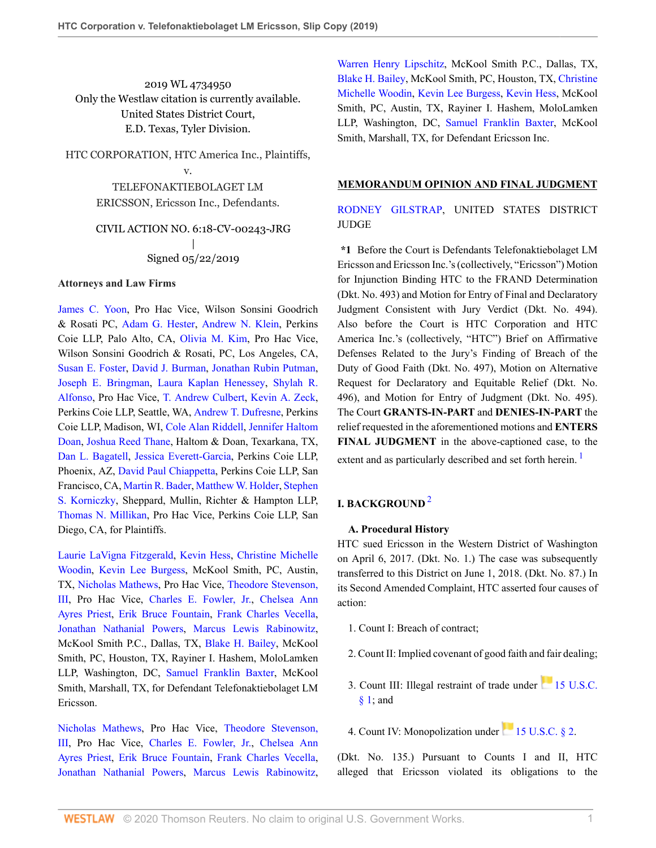2019 WL 4734950 Only the Westlaw citation is currently available. United States District Court, E.D. Texas, Tyler Division.

HTC CORPORATION, HTC America Inc., Plaintiffs,

v.

TELEFONAKTIEBOLAGET LM ERICSSON, Ericsson Inc., Defendants.

CIVIL ACTION NO. 6:18-CV-00243-JRG | Signed 05/22/2019

### **Attorneys and Law Firms**

[James C. Yoon](http://www.westlaw.com/Link/Document/FullText?findType=h&pubNum=176284&cite=0246936301&originatingDoc=Ib38f1820e23e11e9a624fda6cf7cce18&refType=RQ&originationContext=document&vr=3.0&rs=cblt1.0&transitionType=DocumentItem&contextData=(sc.Default)), Pro Hac Vice, Wilson Sonsini Goodrich & Rosati PC, [Adam G. Hester](http://www.westlaw.com/Link/Document/FullText?findType=h&pubNum=176284&cite=0505918301&originatingDoc=Ib38f1820e23e11e9a624fda6cf7cce18&refType=RQ&originationContext=document&vr=3.0&rs=cblt1.0&transitionType=DocumentItem&contextData=(sc.Default)), [Andrew N. Klein,](http://www.westlaw.com/Link/Document/FullText?findType=h&pubNum=176284&cite=0490974199&originatingDoc=Ib38f1820e23e11e9a624fda6cf7cce18&refType=RQ&originationContext=document&vr=3.0&rs=cblt1.0&transitionType=DocumentItem&contextData=(sc.Default)) Perkins Coie LLP, Palo Alto, CA, [Olivia M. Kim,](http://www.westlaw.com/Link/Document/FullText?findType=h&pubNum=176284&cite=0334898601&originatingDoc=Ib38f1820e23e11e9a624fda6cf7cce18&refType=RQ&originationContext=document&vr=3.0&rs=cblt1.0&transitionType=DocumentItem&contextData=(sc.Default)) Pro Hac Vice, Wilson Sonsini Goodrich & Rosati, PC, Los Angeles, CA, [Susan E. Foster,](http://www.westlaw.com/Link/Document/FullText?findType=h&pubNum=176284&cite=0154542201&originatingDoc=Ib38f1820e23e11e9a624fda6cf7cce18&refType=RQ&originationContext=document&vr=3.0&rs=cblt1.0&transitionType=DocumentItem&contextData=(sc.Default)) [David J. Burman](http://www.westlaw.com/Link/Document/FullText?findType=h&pubNum=176284&cite=0125996401&originatingDoc=Ib38f1820e23e11e9a624fda6cf7cce18&refType=RQ&originationContext=document&vr=3.0&rs=cblt1.0&transitionType=DocumentItem&contextData=(sc.Default)), [Jonathan Rubin Putman](http://www.westlaw.com/Link/Document/FullText?findType=h&pubNum=176284&cite=0393608701&originatingDoc=Ib38f1820e23e11e9a624fda6cf7cce18&refType=RQ&originationContext=document&vr=3.0&rs=cblt1.0&transitionType=DocumentItem&contextData=(sc.Default)), [Joseph E. Bringman,](http://www.westlaw.com/Link/Document/FullText?findType=h&pubNum=176284&cite=0211020901&originatingDoc=Ib38f1820e23e11e9a624fda6cf7cce18&refType=RQ&originationContext=document&vr=3.0&rs=cblt1.0&transitionType=DocumentItem&contextData=(sc.Default)) [Laura Kaplan Henessey,](http://www.westlaw.com/Link/Document/FullText?findType=h&pubNum=176284&cite=0505644301&originatingDoc=Ib38f1820e23e11e9a624fda6cf7cce18&refType=RQ&originationContext=document&vr=3.0&rs=cblt1.0&transitionType=DocumentItem&contextData=(sc.Default)) [Shylah R.](http://www.westlaw.com/Link/Document/FullText?findType=h&pubNum=176284&cite=0330744301&originatingDoc=Ib38f1820e23e11e9a624fda6cf7cce18&refType=RQ&originationContext=document&vr=3.0&rs=cblt1.0&transitionType=DocumentItem&contextData=(sc.Default)) [Alfonso](http://www.westlaw.com/Link/Document/FullText?findType=h&pubNum=176284&cite=0330744301&originatingDoc=Ib38f1820e23e11e9a624fda6cf7cce18&refType=RQ&originationContext=document&vr=3.0&rs=cblt1.0&transitionType=DocumentItem&contextData=(sc.Default)), Pro Hac Vice, [T. Andrew Culbert](http://www.westlaw.com/Link/Document/FullText?findType=h&pubNum=176284&cite=0336872401&originatingDoc=Ib38f1820e23e11e9a624fda6cf7cce18&refType=RQ&originationContext=document&vr=3.0&rs=cblt1.0&transitionType=DocumentItem&contextData=(sc.Default)), [Kevin A. Zeck](http://www.westlaw.com/Link/Document/FullText?findType=h&pubNum=176284&cite=0475008601&originatingDoc=Ib38f1820e23e11e9a624fda6cf7cce18&refType=RQ&originationContext=document&vr=3.0&rs=cblt1.0&transitionType=DocumentItem&contextData=(sc.Default)), Perkins Coie LLP, Seattle, WA, [Andrew T. Dufresne](http://www.westlaw.com/Link/Document/FullText?findType=h&pubNum=176284&cite=0478326201&originatingDoc=Ib38f1820e23e11e9a624fda6cf7cce18&refType=RQ&originationContext=document&vr=3.0&rs=cblt1.0&transitionType=DocumentItem&contextData=(sc.Default)), Perkins Coie LLP, Madison, WI, [Cole Alan Riddell](http://www.westlaw.com/Link/Document/FullText?findType=h&pubNum=176284&cite=0506923401&originatingDoc=Ib38f1820e23e11e9a624fda6cf7cce18&refType=RQ&originationContext=document&vr=3.0&rs=cblt1.0&transitionType=DocumentItem&contextData=(sc.Default)), [Jennifer Haltom](http://www.westlaw.com/Link/Document/FullText?findType=h&pubNum=176284&cite=0194595401&originatingDoc=Ib38f1820e23e11e9a624fda6cf7cce18&refType=RQ&originationContext=document&vr=3.0&rs=cblt1.0&transitionType=DocumentItem&contextData=(sc.Default)) [Doan,](http://www.westlaw.com/Link/Document/FullText?findType=h&pubNum=176284&cite=0194595401&originatingDoc=Ib38f1820e23e11e9a624fda6cf7cce18&refType=RQ&originationContext=document&vr=3.0&rs=cblt1.0&transitionType=DocumentItem&contextData=(sc.Default)) [Joshua Reed Thane](http://www.westlaw.com/Link/Document/FullText?findType=h&pubNum=176284&cite=0430722301&originatingDoc=Ib38f1820e23e11e9a624fda6cf7cce18&refType=RQ&originationContext=document&vr=3.0&rs=cblt1.0&transitionType=DocumentItem&contextData=(sc.Default)), Haltom & Doan, Texarkana, TX, [Dan L. Bagatell,](http://www.westlaw.com/Link/Document/FullText?findType=h&pubNum=176284&cite=0175349501&originatingDoc=Ib38f1820e23e11e9a624fda6cf7cce18&refType=RQ&originationContext=document&vr=3.0&rs=cblt1.0&transitionType=DocumentItem&contextData=(sc.Default)) [Jessica Everett-Garcia,](http://www.westlaw.com/Link/Document/FullText?findType=h&pubNum=176284&cite=0323513701&originatingDoc=Ib38f1820e23e11e9a624fda6cf7cce18&refType=RQ&originationContext=document&vr=3.0&rs=cblt1.0&transitionType=DocumentItem&contextData=(sc.Default)) Perkins Coie LLP, Phoenix, AZ, [David Paul Chiappetta](http://www.westlaw.com/Link/Document/FullText?findType=h&pubNum=176284&cite=0216456401&originatingDoc=Ib38f1820e23e11e9a624fda6cf7cce18&refType=RQ&originationContext=document&vr=3.0&rs=cblt1.0&transitionType=DocumentItem&contextData=(sc.Default)), Perkins Coie LLP, San Francisco, CA, [Martin R. Bader,](http://www.westlaw.com/Link/Document/FullText?findType=h&pubNum=176284&cite=0335132701&originatingDoc=Ib38f1820e23e11e9a624fda6cf7cce18&refType=RQ&originationContext=document&vr=3.0&rs=cblt1.0&transitionType=DocumentItem&contextData=(sc.Default)) [Matthew W. Holder,](http://www.westlaw.com/Link/Document/FullText?findType=h&pubNum=176284&cite=0307917001&originatingDoc=Ib38f1820e23e11e9a624fda6cf7cce18&refType=RQ&originationContext=document&vr=3.0&rs=cblt1.0&transitionType=DocumentItem&contextData=(sc.Default)) [Stephen](http://www.westlaw.com/Link/Document/FullText?findType=h&pubNum=176284&cite=0176342401&originatingDoc=Ib38f1820e23e11e9a624fda6cf7cce18&refType=RQ&originationContext=document&vr=3.0&rs=cblt1.0&transitionType=DocumentItem&contextData=(sc.Default)) [S. Korniczky](http://www.westlaw.com/Link/Document/FullText?findType=h&pubNum=176284&cite=0176342401&originatingDoc=Ib38f1820e23e11e9a624fda6cf7cce18&refType=RQ&originationContext=document&vr=3.0&rs=cblt1.0&transitionType=DocumentItem&contextData=(sc.Default)), Sheppard, Mullin, Richter & Hampton LLP, [Thomas N. Millikan](http://www.westlaw.com/Link/Document/FullText?findType=h&pubNum=176284&cite=0356709101&originatingDoc=Ib38f1820e23e11e9a624fda6cf7cce18&refType=RQ&originationContext=document&vr=3.0&rs=cblt1.0&transitionType=DocumentItem&contextData=(sc.Default)), Pro Hac Vice, Perkins Coie LLP, San Diego, CA, for Plaintiffs.

[Laurie LaVigna Fitzgerald,](http://www.westlaw.com/Link/Document/FullText?findType=h&pubNum=176284&cite=0430935901&originatingDoc=Ib38f1820e23e11e9a624fda6cf7cce18&refType=RQ&originationContext=document&vr=3.0&rs=cblt1.0&transitionType=DocumentItem&contextData=(sc.Default)) [Kevin Hess](http://www.westlaw.com/Link/Document/FullText?findType=h&pubNum=176284&cite=0484116501&originatingDoc=Ib38f1820e23e11e9a624fda6cf7cce18&refType=RQ&originationContext=document&vr=3.0&rs=cblt1.0&transitionType=DocumentItem&contextData=(sc.Default)), [Christine Michelle](http://www.westlaw.com/Link/Document/FullText?findType=h&pubNum=176284&cite=0492284799&originatingDoc=Ib38f1820e23e11e9a624fda6cf7cce18&refType=RQ&originationContext=document&vr=3.0&rs=cblt1.0&transitionType=DocumentItem&contextData=(sc.Default)) [Woodin](http://www.westlaw.com/Link/Document/FullText?findType=h&pubNum=176284&cite=0492284799&originatingDoc=Ib38f1820e23e11e9a624fda6cf7cce18&refType=RQ&originationContext=document&vr=3.0&rs=cblt1.0&transitionType=DocumentItem&contextData=(sc.Default)), [Kevin Lee Burgess,](http://www.westlaw.com/Link/Document/FullText?findType=h&pubNum=176284&cite=0333990001&originatingDoc=Ib38f1820e23e11e9a624fda6cf7cce18&refType=RQ&originationContext=document&vr=3.0&rs=cblt1.0&transitionType=DocumentItem&contextData=(sc.Default)) McKool Smith, PC, Austin, TX, [Nicholas Mathews,](http://www.westlaw.com/Link/Document/FullText?findType=h&pubNum=176284&cite=0441161101&originatingDoc=Ib38f1820e23e11e9a624fda6cf7cce18&refType=RQ&originationContext=document&vr=3.0&rs=cblt1.0&transitionType=DocumentItem&contextData=(sc.Default)) Pro Hac Vice, [Theodore Stevenson,](http://www.westlaw.com/Link/Document/FullText?findType=h&pubNum=176284&cite=0334019601&originatingDoc=Ib38f1820e23e11e9a624fda6cf7cce18&refType=RQ&originationContext=document&vr=3.0&rs=cblt1.0&transitionType=DocumentItem&contextData=(sc.Default)) [III,](http://www.westlaw.com/Link/Document/FullText?findType=h&pubNum=176284&cite=0334019601&originatingDoc=Ib38f1820e23e11e9a624fda6cf7cce18&refType=RQ&originationContext=document&vr=3.0&rs=cblt1.0&transitionType=DocumentItem&contextData=(sc.Default)) Pro Hac Vice, [Charles E. Fowler, Jr.,](http://www.westlaw.com/Link/Document/FullText?findType=h&pubNum=176284&cite=0487757501&originatingDoc=Ib38f1820e23e11e9a624fda6cf7cce18&refType=RQ&originationContext=document&vr=3.0&rs=cblt1.0&transitionType=DocumentItem&contextData=(sc.Default)) [Chelsea Ann](http://www.westlaw.com/Link/Document/FullText?findType=h&pubNum=176284&cite=0509560501&originatingDoc=Ib38f1820e23e11e9a624fda6cf7cce18&refType=RQ&originationContext=document&vr=3.0&rs=cblt1.0&transitionType=DocumentItem&contextData=(sc.Default)) [Ayres Priest,](http://www.westlaw.com/Link/Document/FullText?findType=h&pubNum=176284&cite=0509560501&originatingDoc=Ib38f1820e23e11e9a624fda6cf7cce18&refType=RQ&originationContext=document&vr=3.0&rs=cblt1.0&transitionType=DocumentItem&contextData=(sc.Default)) [Erik Bruce Fountain,](http://www.westlaw.com/Link/Document/FullText?findType=h&pubNum=176284&cite=0492254699&originatingDoc=Ib38f1820e23e11e9a624fda6cf7cce18&refType=RQ&originationContext=document&vr=3.0&rs=cblt1.0&transitionType=DocumentItem&contextData=(sc.Default)) [Frank Charles Vecella](http://www.westlaw.com/Link/Document/FullText?findType=h&pubNum=176284&cite=0336261101&originatingDoc=Ib38f1820e23e11e9a624fda6cf7cce18&refType=RQ&originationContext=document&vr=3.0&rs=cblt1.0&transitionType=DocumentItem&contextData=(sc.Default)), [Jonathan Nathanial Powers](http://www.westlaw.com/Link/Document/FullText?findType=h&pubNum=176284&cite=0492255399&originatingDoc=Ib38f1820e23e11e9a624fda6cf7cce18&refType=RQ&originationContext=document&vr=3.0&rs=cblt1.0&transitionType=DocumentItem&contextData=(sc.Default)), [Marcus Lewis Rabinowitz](http://www.westlaw.com/Link/Document/FullText?findType=h&pubNum=176284&cite=0492255499&originatingDoc=Ib38f1820e23e11e9a624fda6cf7cce18&refType=RQ&originationContext=document&vr=3.0&rs=cblt1.0&transitionType=DocumentItem&contextData=(sc.Default)), McKool Smith P.C., Dallas, TX, [Blake H. Bailey,](http://www.westlaw.com/Link/Document/FullText?findType=h&pubNum=176284&cite=0438601101&originatingDoc=Ib38f1820e23e11e9a624fda6cf7cce18&refType=RQ&originationContext=document&vr=3.0&rs=cblt1.0&transitionType=DocumentItem&contextData=(sc.Default)) McKool Smith, PC, Houston, TX, Rayiner I. Hashem, MoloLamken LLP, Washington, DC, [Samuel Franklin Baxter,](http://www.westlaw.com/Link/Document/FullText?findType=h&pubNum=176284&cite=0217646301&originatingDoc=Ib38f1820e23e11e9a624fda6cf7cce18&refType=RQ&originationContext=document&vr=3.0&rs=cblt1.0&transitionType=DocumentItem&contextData=(sc.Default)) McKool Smith, Marshall, TX, for Defendant Telefonaktiebolaget LM Ericsson.

[Nicholas Mathews](http://www.westlaw.com/Link/Document/FullText?findType=h&pubNum=176284&cite=0441161101&originatingDoc=Ib38f1820e23e11e9a624fda6cf7cce18&refType=RQ&originationContext=document&vr=3.0&rs=cblt1.0&transitionType=DocumentItem&contextData=(sc.Default)), Pro Hac Vice, [Theodore Stevenson,](http://www.westlaw.com/Link/Document/FullText?findType=h&pubNum=176284&cite=0334019601&originatingDoc=Ib38f1820e23e11e9a624fda6cf7cce18&refType=RQ&originationContext=document&vr=3.0&rs=cblt1.0&transitionType=DocumentItem&contextData=(sc.Default)) [III,](http://www.westlaw.com/Link/Document/FullText?findType=h&pubNum=176284&cite=0334019601&originatingDoc=Ib38f1820e23e11e9a624fda6cf7cce18&refType=RQ&originationContext=document&vr=3.0&rs=cblt1.0&transitionType=DocumentItem&contextData=(sc.Default)) Pro Hac Vice, [Charles E. Fowler, Jr.,](http://www.westlaw.com/Link/Document/FullText?findType=h&pubNum=176284&cite=0487757501&originatingDoc=Ib38f1820e23e11e9a624fda6cf7cce18&refType=RQ&originationContext=document&vr=3.0&rs=cblt1.0&transitionType=DocumentItem&contextData=(sc.Default)) [Chelsea Ann](http://www.westlaw.com/Link/Document/FullText?findType=h&pubNum=176284&cite=0509560501&originatingDoc=Ib38f1820e23e11e9a624fda6cf7cce18&refType=RQ&originationContext=document&vr=3.0&rs=cblt1.0&transitionType=DocumentItem&contextData=(sc.Default)) [Ayres Priest,](http://www.westlaw.com/Link/Document/FullText?findType=h&pubNum=176284&cite=0509560501&originatingDoc=Ib38f1820e23e11e9a624fda6cf7cce18&refType=RQ&originationContext=document&vr=3.0&rs=cblt1.0&transitionType=DocumentItem&contextData=(sc.Default)) [Erik Bruce Fountain,](http://www.westlaw.com/Link/Document/FullText?findType=h&pubNum=176284&cite=0492254699&originatingDoc=Ib38f1820e23e11e9a624fda6cf7cce18&refType=RQ&originationContext=document&vr=3.0&rs=cblt1.0&transitionType=DocumentItem&contextData=(sc.Default)) [Frank Charles Vecella](http://www.westlaw.com/Link/Document/FullText?findType=h&pubNum=176284&cite=0336261101&originatingDoc=Ib38f1820e23e11e9a624fda6cf7cce18&refType=RQ&originationContext=document&vr=3.0&rs=cblt1.0&transitionType=DocumentItem&contextData=(sc.Default)), [Jonathan Nathanial Powers](http://www.westlaw.com/Link/Document/FullText?findType=h&pubNum=176284&cite=0492255399&originatingDoc=Ib38f1820e23e11e9a624fda6cf7cce18&refType=RQ&originationContext=document&vr=3.0&rs=cblt1.0&transitionType=DocumentItem&contextData=(sc.Default)), [Marcus Lewis Rabinowitz](http://www.westlaw.com/Link/Document/FullText?findType=h&pubNum=176284&cite=0492255499&originatingDoc=Ib38f1820e23e11e9a624fda6cf7cce18&refType=RQ&originationContext=document&vr=3.0&rs=cblt1.0&transitionType=DocumentItem&contextData=(sc.Default)), [Warren Henry Lipschitz,](http://www.westlaw.com/Link/Document/FullText?findType=h&pubNum=176284&cite=0459165801&originatingDoc=Ib38f1820e23e11e9a624fda6cf7cce18&refType=RQ&originationContext=document&vr=3.0&rs=cblt1.0&transitionType=DocumentItem&contextData=(sc.Default)) McKool Smith P.C., Dallas, TX, [Blake H. Bailey,](http://www.westlaw.com/Link/Document/FullText?findType=h&pubNum=176284&cite=0438601101&originatingDoc=Ib38f1820e23e11e9a624fda6cf7cce18&refType=RQ&originationContext=document&vr=3.0&rs=cblt1.0&transitionType=DocumentItem&contextData=(sc.Default)) McKool Smith, PC, Houston, TX, [Christine](http://www.westlaw.com/Link/Document/FullText?findType=h&pubNum=176284&cite=0492284799&originatingDoc=Ib38f1820e23e11e9a624fda6cf7cce18&refType=RQ&originationContext=document&vr=3.0&rs=cblt1.0&transitionType=DocumentItem&contextData=(sc.Default)) [Michelle Woodin,](http://www.westlaw.com/Link/Document/FullText?findType=h&pubNum=176284&cite=0492284799&originatingDoc=Ib38f1820e23e11e9a624fda6cf7cce18&refType=RQ&originationContext=document&vr=3.0&rs=cblt1.0&transitionType=DocumentItem&contextData=(sc.Default)) [Kevin Lee Burgess](http://www.westlaw.com/Link/Document/FullText?findType=h&pubNum=176284&cite=0333990001&originatingDoc=Ib38f1820e23e11e9a624fda6cf7cce18&refType=RQ&originationContext=document&vr=3.0&rs=cblt1.0&transitionType=DocumentItem&contextData=(sc.Default)), [Kevin Hess](http://www.westlaw.com/Link/Document/FullText?findType=h&pubNum=176284&cite=0484116501&originatingDoc=Ib38f1820e23e11e9a624fda6cf7cce18&refType=RQ&originationContext=document&vr=3.0&rs=cblt1.0&transitionType=DocumentItem&contextData=(sc.Default)), McKool Smith, PC, Austin, TX, Rayiner I. Hashem, MoloLamken LLP, Washington, DC, [Samuel Franklin Baxter,](http://www.westlaw.com/Link/Document/FullText?findType=h&pubNum=176284&cite=0217646301&originatingDoc=Ib38f1820e23e11e9a624fda6cf7cce18&refType=RQ&originationContext=document&vr=3.0&rs=cblt1.0&transitionType=DocumentItem&contextData=(sc.Default)) McKool Smith, Marshall, TX, for Defendant Ericsson Inc.

## **MEMORANDUM OPINION AND FINAL JUDGMENT**

[RODNEY GILSTRAP,](http://www.westlaw.com/Link/Document/FullText?findType=h&pubNum=176284&cite=0278204201&originatingDoc=Ib38f1820e23e11e9a624fda6cf7cce18&refType=RQ&originationContext=document&vr=3.0&rs=cblt1.0&transitionType=DocumentItem&contextData=(sc.Default)) UNITED STATES DISTRICT JUDGE

**\*1** Before the Court is Defendants Telefonaktiebolaget LM Ericsson and Ericsson Inc.'s (collectively, "Ericsson") Motion for Injunction Binding HTC to the FRAND Determination (Dkt. No. 493) and Motion for Entry of Final and Declaratory Judgment Consistent with Jury Verdict (Dkt. No. 494). Also before the Court is HTC Corporation and HTC America Inc.'s (collectively, "HTC") Brief on Affirmative Defenses Related to the Jury's Finding of Breach of the Duty of Good Faith (Dkt. No. 497), Motion on Alternative Request for Declaratory and Equitable Relief (Dkt. No. 496), and Motion for Entry of Judgment (Dkt. No. 495). The Court **GRANTS-IN-PART** and **DENIES-IN-PART** the relief requested in the aforementioned motions and **ENTERS FINAL JUDGMENT** in the above-captioned case, to the

<span id="page-0-0"></span>extent and as particularly described and set forth herein.<sup>[1](#page-9-0)</sup>

# **I. BACKGROUND** [2](#page-9-1)

## <span id="page-0-1"></span>**A. Procedural History**

HTC sued Ericsson in the Western District of Washington on April 6, 2017. (Dkt. No. 1.) The case was subsequently transferred to this District on June 1, 2018. (Dkt. No. 87.) In its Second Amended Complaint, HTC asserted four causes of action:

- 1. Count I: Breach of contract;
- 2. Count II: Implied covenant of good faith and fair dealing;
- 3. Count III: Illegal restraint of trade under [15 U.S.C.](http://www.westlaw.com/Link/Document/FullText?findType=L&pubNum=1000546&cite=15USCAS1&originatingDoc=Ib38f1820e23e11e9a624fda6cf7cce18&refType=LQ&originationContext=document&vr=3.0&rs=cblt1.0&transitionType=DocumentItem&contextData=(sc.Default)) [§ 1;](http://www.westlaw.com/Link/Document/FullText?findType=L&pubNum=1000546&cite=15USCAS1&originatingDoc=Ib38f1820e23e11e9a624fda6cf7cce18&refType=LQ&originationContext=document&vr=3.0&rs=cblt1.0&transitionType=DocumentItem&contextData=(sc.Default)) and

4. Count IV: Monopolization under [15 U.S.C. § 2.](http://www.westlaw.com/Link/Document/FullText?findType=L&pubNum=1000546&cite=15USCAS2&originatingDoc=Ib38f1820e23e11e9a624fda6cf7cce18&refType=LQ&originationContext=document&vr=3.0&rs=cblt1.0&transitionType=DocumentItem&contextData=(sc.Default))

(Dkt. No. 135.) Pursuant to Counts I and II, HTC alleged that Ericsson violated its obligations to the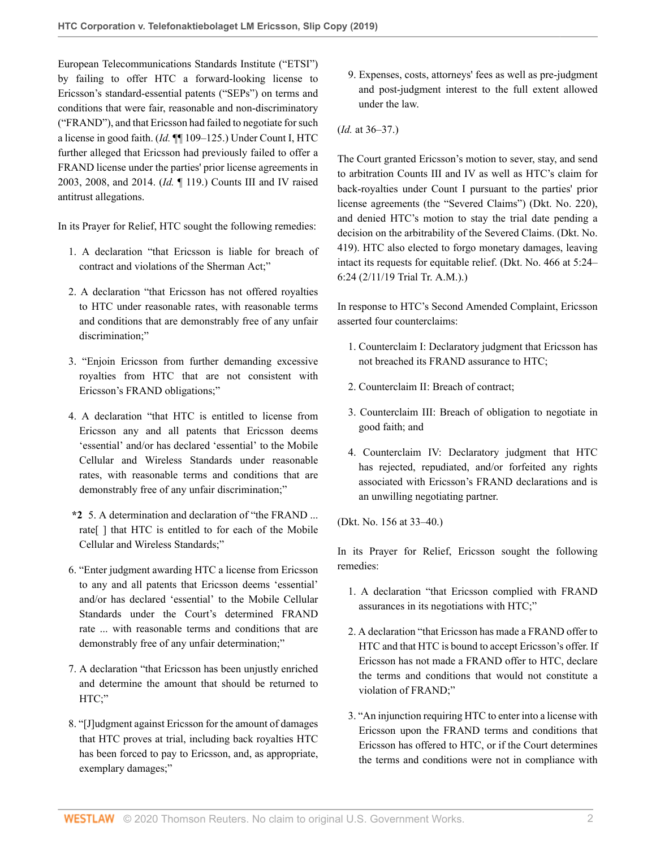European Telecommunications Standards Institute ("ETSI") by failing to offer HTC a forward-looking license to Ericsson's standard-essential patents ("SEPs") on terms and conditions that were fair, reasonable and non-discriminatory ("FRAND"), and that Ericsson had failed to negotiate for such a license in good faith. (*Id.* ¶¶ 109–125.) Under Count I, HTC further alleged that Ericsson had previously failed to offer a FRAND license under the parties' prior license agreements in 2003, 2008, and 2014. (*Id.* ¶ 119.) Counts III and IV raised antitrust allegations.

In its Prayer for Relief, HTC sought the following remedies:

- 1. A declaration "that Ericsson is liable for breach of contract and violations of the Sherman Act;"
- 2. A declaration "that Ericsson has not offered royalties to HTC under reasonable rates, with reasonable terms and conditions that are demonstrably free of any unfair discrimination;"
- 3. "Enjoin Ericsson from further demanding excessive royalties from HTC that are not consistent with Ericsson's FRAND obligations;"
- 4. A declaration "that HTC is entitled to license from Ericsson any and all patents that Ericsson deems 'essential' and/or has declared 'essential' to the Mobile Cellular and Wireless Standards under reasonable rates, with reasonable terms and conditions that are demonstrably free of any unfair discrimination;"
- **\*2** 5. A determination and declaration of "the FRAND ... rate[ ] that HTC is entitled to for each of the Mobile Cellular and Wireless Standards;"
- 6. "Enter judgment awarding HTC a license from Ericsson to any and all patents that Ericsson deems 'essential' and/or has declared 'essential' to the Mobile Cellular Standards under the Court's determined FRAND rate ... with reasonable terms and conditions that are demonstrably free of any unfair determination;"
- 7. A declaration "that Ericsson has been unjustly enriched and determine the amount that should be returned to HTC;"
- 8. "[J]udgment against Ericsson for the amount of damages that HTC proves at trial, including back royalties HTC has been forced to pay to Ericsson, and, as appropriate, exemplary damages;"
- 9. Expenses, costs, attorneys' fees as well as pre-judgment and post-judgment interest to the full extent allowed under the law.
- (*Id.* at 36–37.)

The Court granted Ericsson's motion to sever, stay, and send to arbitration Counts III and IV as well as HTC's claim for back-royalties under Count I pursuant to the parties' prior license agreements (the "Severed Claims") (Dkt. No. 220), and denied HTC's motion to stay the trial date pending a decision on the arbitrability of the Severed Claims. (Dkt. No. 419). HTC also elected to forgo monetary damages, leaving intact its requests for equitable relief. (Dkt. No. 466 at 5:24– 6:24 (2/11/19 Trial Tr. A.M.).)

In response to HTC's Second Amended Complaint, Ericsson asserted four counterclaims:

- 1. Counterclaim I: Declaratory judgment that Ericsson has not breached its FRAND assurance to HTC;
- 2. Counterclaim II: Breach of contract;
- 3. Counterclaim III: Breach of obligation to negotiate in good faith; and
- 4. Counterclaim IV: Declaratory judgment that HTC has rejected, repudiated, and/or forfeited any rights associated with Ericsson's FRAND declarations and is an unwilling negotiating partner.

(Dkt. No. 156 at 33–40.)

In its Prayer for Relief, Ericsson sought the following remedies:

- 1. A declaration "that Ericsson complied with FRAND assurances in its negotiations with HTC;"
- 2. A declaration "that Ericsson has made a FRAND offer to HTC and that HTC is bound to accept Ericsson's offer. If Ericsson has not made a FRAND offer to HTC, declare the terms and conditions that would not constitute a violation of FRAND;"
- 3. "An injunction requiring HTC to enter into a license with Ericsson upon the FRAND terms and conditions that Ericsson has offered to HTC, or if the Court determines the terms and conditions were not in compliance with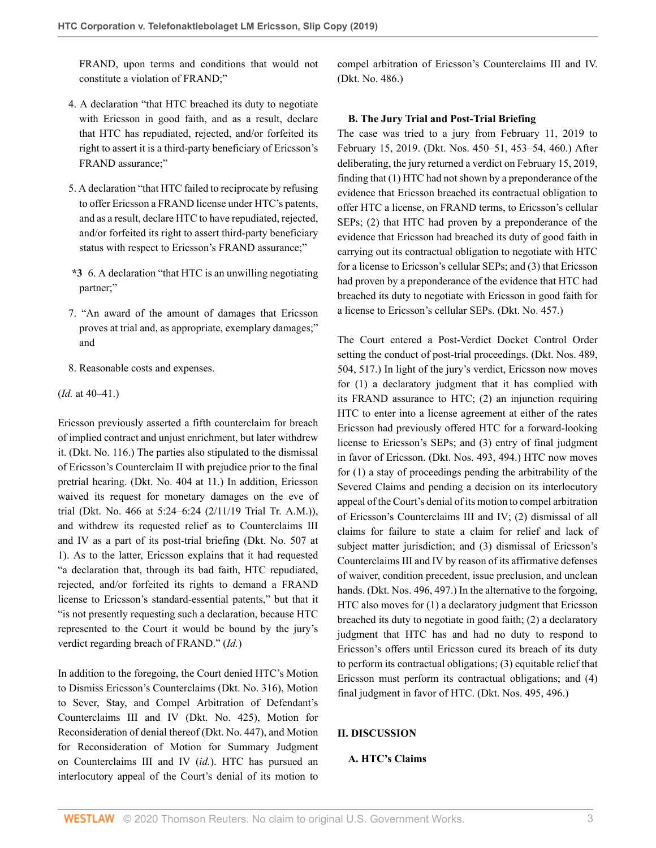FRAND, upon terms and conditions that would not constitute a violation of FRAND;"

compel arbitration of Ericsson's Counterclaims III and IV. (Dkt. No. 486.)

- 4. A declaration "that HTC breached its duty to negotiate with Ericsson in good faith, and as a result, declare that HTC has repudiated, rejected, and/or forfeited its right to assert it is a third-party beneficiary of Ericsson's FRAND assurance;"
- 5. A declaration "that HTC failed to reciprocate by refusing to offer Ericsson a FRAND license under HTC's patents, and as a result, declare HTC to have repudiated, rejected, and/or forfeited its right to assert third-party beneficiary status with respect to Ericsson's FRAND assurance;"
- **\*3** 6. A declaration "that HTC is an unwilling negotiating partner;"
- 7. "An award of the amount of damages that Ericsson proves at trial and, as appropriate, exemplary damages;" and
- 8. Reasonable costs and expenses.
- (*Id.* at 40–41.)

Ericsson previously asserted a fifth counterclaim for breach of implied contract and unjust enrichment, but later withdrew it. (Dkt. No. 116.) The parties also stipulated to the dismissal of Ericsson's Counterclaim II with prejudice prior to the final pretrial hearing. (Dkt. No. 404 at 11.) In addition, Ericsson waived its request for monetary damages on the eve of trial (Dkt. No. 466 at 5:24–6:24 (2/11/19 Trial Tr. A.M.)), and withdrew its requested relief as to Counterclaims III and IV as a part of its post-trial briefing (Dkt. No. 507 at 1). As to the latter, Ericsson explains that it had requested "a declaration that, through its bad faith, HTC repudiated, rejected, and/or forfeited its rights to demand a FRAND license to Ericsson's standard-essential patents," but that it "is not presently requesting such a declaration, because HTC represented to the Court it would be bound by the jury's verdict regarding breach of FRAND." (*Id.*)

In addition to the foregoing, the Court denied HTC's Motion to Dismiss Ericsson's Counterclaims (Dkt. No. 316), Motion to Sever, Stay, and Compel Arbitration of Defendant's Counterclaims III and IV (Dkt. No. 425), Motion for Reconsideration of denial thereof (Dkt. No. 447), and Motion for Reconsideration of Motion for Summary Judgment on Counterclaims III and IV (*id.*). HTC has pursued an interlocutory appeal of the Court's denial of its motion to

#### **B. The Jury Trial and Post-Trial Briefing**

The case was tried to a jury from February 11, 2019 to February 15, 2019. (Dkt. Nos. 450–51, 453–54, 460.) After deliberating, the jury returned a verdict on February 15, 2019, finding that (1) HTC had not shown by a preponderance of the evidence that Ericsson breached its contractual obligation to offer HTC a license, on FRAND terms, to Ericsson's cellular SEPs; (2) that HTC had proven by a preponderance of the evidence that Ericsson had breached its duty of good faith in carrying out its contractual obligation to negotiate with HTC for a license to Ericsson's cellular SEPs; and (3) that Ericsson had proven by a preponderance of the evidence that HTC had breached its duty to negotiate with Ericsson in good faith for a license to Ericsson's cellular SEPs. (Dkt. No. 457.)

The Court entered a Post-Verdict Docket Control Order setting the conduct of post-trial proceedings. (Dkt. Nos. 489, 504, 517.) In light of the jury's verdict, Ericsson now moves for (1) a declaratory judgment that it has complied with its FRAND assurance to HTC; (2) an injunction requiring HTC to enter into a license agreement at either of the rates Ericsson had previously offered HTC for a forward-looking license to Ericsson's SEPs; and (3) entry of final judgment in favor of Ericsson. (Dkt. Nos. 493, 494.) HTC now moves for (1) a stay of proceedings pending the arbitrability of the Severed Claims and pending a decision on its interlocutory appeal of the Court's denial of its motion to compel arbitration of Ericsson's Counterclaims III and IV; (2) dismissal of all claims for failure to state a claim for relief and lack of subject matter jurisdiction; and (3) dismissal of Ericsson's Counterclaims III and IV by reason of its affirmative defenses of waiver, condition precedent, issue preclusion, and unclean hands. (Dkt. Nos. 496, 497.) In the alternative to the forgoing, HTC also moves for (1) a declaratory judgment that Ericsson breached its duty to negotiate in good faith; (2) a declaratory judgment that HTC has and had no duty to respond to Ericsson's offers until Ericsson cured its breach of its duty to perform its contractual obligations; (3) equitable relief that Ericsson must perform its contractual obligations; and (4) final judgment in favor of HTC. (Dkt. Nos. 495, 496.)

### **II. DISCUSSION**

## **A. HTC's Claims**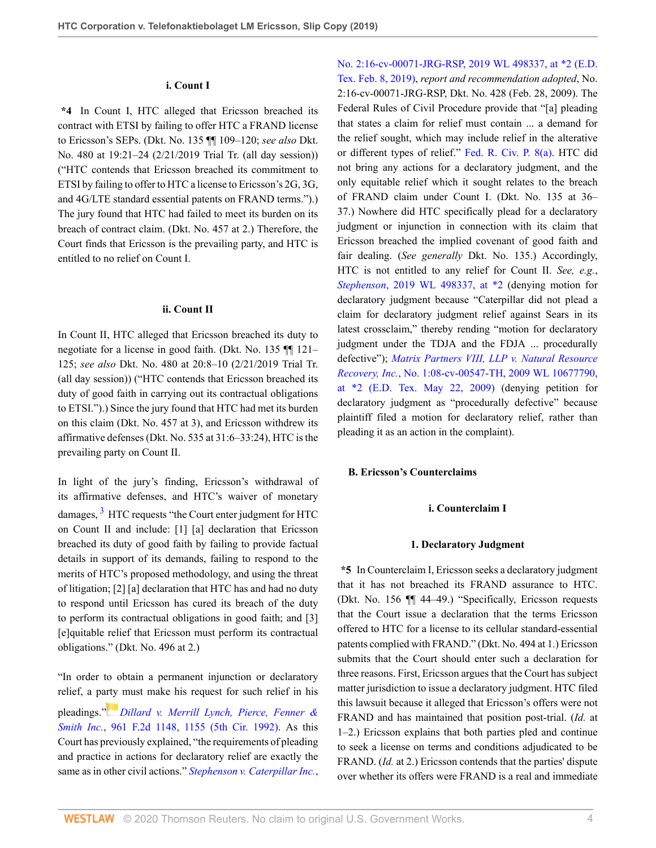#### **i. Count I**

**\*4** In Count I, HTC alleged that Ericsson breached its contract with ETSI by failing to offer HTC a FRAND license to Ericsson's SEPs. (Dkt. No. 135 ¶¶ 109–120; *see also* Dkt. No. 480 at 19:21–24 (2/21/2019 Trial Tr. (all day session)) ("HTC contends that Ericsson breached its commitment to ETSI by failing to offer to HTC a license to Ericsson's 2G, 3G, and 4G/LTE standard essential patents on FRAND terms.").) The jury found that HTC had failed to meet its burden on its breach of contract claim. (Dkt. No. 457 at 2.) Therefore, the Court finds that Ericsson is the prevailing party, and HTC is entitled to no relief on Count I.

#### **ii. Count II**

In Count II, HTC alleged that Ericsson breached its duty to negotiate for a license in good faith. (Dkt. No. 135 ¶¶ 121– 125; *see also* Dkt. No. 480 at 20:8–10 (2/21/2019 Trial Tr. (all day session)) ("HTC contends that Ericsson breached its duty of good faith in carrying out its contractual obligations to ETSI.").) Since the jury found that HTC had met its burden on this claim (Dkt. No. 457 at 3), and Ericsson withdrew its affirmative defenses (Dkt. No. 535 at 31:6–33:24), HTC is the prevailing party on Count II.

<span id="page-3-0"></span>In light of the jury's finding, Ericsson's withdrawal of its affirmative defenses, and HTC's waiver of monetary damages, <sup>[3](#page-9-2)</sup> HTC requests "the Court enter judgment for HTC on Count II and include: [1] [a] declaration that Ericsson breached its duty of good faith by failing to provide factual details in support of its demands, failing to respond to the merits of HTC's proposed methodology, and using the threat of litigation; [2] [a] declaration that HTC has and had no duty to respond until Ericsson has cured its breach of the duty to perform its contractual obligations in good faith; and [3] [e]quitable relief that Ericsson must perform its contractual obligations." (Dkt. No. 496 at 2.)

"In order to obtain a permanent injunction or declaratory relief, a p[arty](https://1.next.westlaw.com/Link/RelatedInformation/Flag?documentGuid=Iabae176294cd11d9a707f4371c9c34f0&transitionType=InlineKeyCiteFlags&originationContext=docHeaderFlag&Rank=0&contextData=(sc.Default) ) must make his request for such relief in his pleadings." *[Dillard v. Merrill Lynch, Pierce, Fenner &](http://www.westlaw.com/Link/Document/FullText?findType=Y&serNum=1992092375&pubNum=0000350&originatingDoc=Ib38f1820e23e11e9a624fda6cf7cce18&refType=RP&fi=co_pp_sp_350_1155&originationContext=document&vr=3.0&rs=cblt1.0&transitionType=DocumentItem&contextData=(sc.Default)#co_pp_sp_350_1155) Smith Inc.*[, 961 F.2d 1148, 1155 \(5th Cir. 1992\).](http://www.westlaw.com/Link/Document/FullText?findType=Y&serNum=1992092375&pubNum=0000350&originatingDoc=Ib38f1820e23e11e9a624fda6cf7cce18&refType=RP&fi=co_pp_sp_350_1155&originationContext=document&vr=3.0&rs=cblt1.0&transitionType=DocumentItem&contextData=(sc.Default)#co_pp_sp_350_1155) As this Court has previously explained, "the requirements of pleading and practice in actions for declaratory relief are exactly the same as in other civil actions." *[Stephenson v. Caterpillar Inc.](http://www.westlaw.com/Link/Document/FullText?findType=Y&serNum=2047506684&pubNum=0000999&originatingDoc=Ib38f1820e23e11e9a624fda6cf7cce18&refType=RP&originationContext=document&vr=3.0&rs=cblt1.0&transitionType=DocumentItem&contextData=(sc.Default))*, [No. 2:16-cv-00071-JRG-RSP, 2019 WL 498337, at \\*2 \(E.D.](http://www.westlaw.com/Link/Document/FullText?findType=Y&serNum=2047506684&pubNum=0000999&originatingDoc=Ib38f1820e23e11e9a624fda6cf7cce18&refType=RP&originationContext=document&vr=3.0&rs=cblt1.0&transitionType=DocumentItem&contextData=(sc.Default)) [Tex. Feb. 8, 2019\),](http://www.westlaw.com/Link/Document/FullText?findType=Y&serNum=2047506684&pubNum=0000999&originatingDoc=Ib38f1820e23e11e9a624fda6cf7cce18&refType=RP&originationContext=document&vr=3.0&rs=cblt1.0&transitionType=DocumentItem&contextData=(sc.Default)) *report and recommendation adopted*, No. 2:16-cv-00071-JRG-RSP, Dkt. No. 428 (Feb. 28, 2009). The Federal Rules of Civil Procedure provide that "[a] pleading that states a claim for relief must contain ... a demand for the relief sought, which may include relief in the alterative or different types of relief." [Fed. R. Civ. P. 8\(a\)](http://www.westlaw.com/Link/Document/FullText?findType=L&pubNum=1000600&cite=USFRCPR8&originatingDoc=Ib38f1820e23e11e9a624fda6cf7cce18&refType=LQ&originationContext=document&vr=3.0&rs=cblt1.0&transitionType=DocumentItem&contextData=(sc.Default)). HTC did not bring any actions for a declaratory judgment, and the only equitable relief which it sought relates to the breach of FRAND claim under Count I. (Dkt. No. 135 at 36– 37.) Nowhere did HTC specifically plead for a declaratory judgment or injunction in connection with its claim that Ericsson breached the implied covenant of good faith and fair dealing. (*See generally* Dkt. No. 135.) Accordingly, HTC is not entitled to any relief for Count II. *See, e.g.*, *Stephenson*[, 2019 WL 498337, at \\*2](http://www.westlaw.com/Link/Document/FullText?findType=Y&serNum=2047506684&pubNum=0000999&originatingDoc=Ib38f1820e23e11e9a624fda6cf7cce18&refType=RP&originationContext=document&vr=3.0&rs=cblt1.0&transitionType=DocumentItem&contextData=(sc.Default)) (denying motion for declaratory judgment because "Caterpillar did not plead a claim for declaratory judgment relief against Sears in its latest crossclaim," thereby rending "motion for declaratory judgment under the TDJA and the FDJA ... procedurally defective"); *[Matrix Partners VIII, LLP v. Natural Resource](http://www.westlaw.com/Link/Document/FullText?findType=Y&serNum=2042093011&pubNum=0000999&originatingDoc=Ib38f1820e23e11e9a624fda6cf7cce18&refType=RP&originationContext=document&vr=3.0&rs=cblt1.0&transitionType=DocumentItem&contextData=(sc.Default)) Recovery, Inc.*[, No. 1:08-cv-00547-TH, 2009 WL 10677790,](http://www.westlaw.com/Link/Document/FullText?findType=Y&serNum=2042093011&pubNum=0000999&originatingDoc=Ib38f1820e23e11e9a624fda6cf7cce18&refType=RP&originationContext=document&vr=3.0&rs=cblt1.0&transitionType=DocumentItem&contextData=(sc.Default)) [at \\*2 \(E.D. Tex. May 22, 2009\)](http://www.westlaw.com/Link/Document/FullText?findType=Y&serNum=2042093011&pubNum=0000999&originatingDoc=Ib38f1820e23e11e9a624fda6cf7cce18&refType=RP&originationContext=document&vr=3.0&rs=cblt1.0&transitionType=DocumentItem&contextData=(sc.Default)) (denying petition for declaratory judgment as "procedurally defective" because plaintiff filed a motion for declaratory relief, rather than pleading it as an action in the complaint).

### **B. Ericsson's Counterclaims**

#### **i. Counterclaim I**

#### **1. Declaratory Judgment**

**\*5** In Counterclaim I, Ericsson seeks a declaratory judgment that it has not breached its FRAND assurance to HTC. (Dkt. No. 156 ¶¶ 44–49.) "Specifically, Ericsson requests that the Court issue a declaration that the terms Ericsson offered to HTC for a license to its cellular standard-essential patents complied with FRAND." (Dkt. No. 494 at 1.) Ericsson submits that the Court should enter such a declaration for three reasons. First, Ericsson argues that the Court has subject matter jurisdiction to issue a declaratory judgment. HTC filed this lawsuit because it alleged that Ericsson's offers were not FRAND and has maintained that position post-trial. (*Id.* at 1–2.) Ericsson explains that both parties pled and continue to seek a license on terms and conditions adjudicated to be FRAND. (*Id.* at 2.) Ericsson contends that the parties' dispute over whether its offers were FRAND is a real and immediate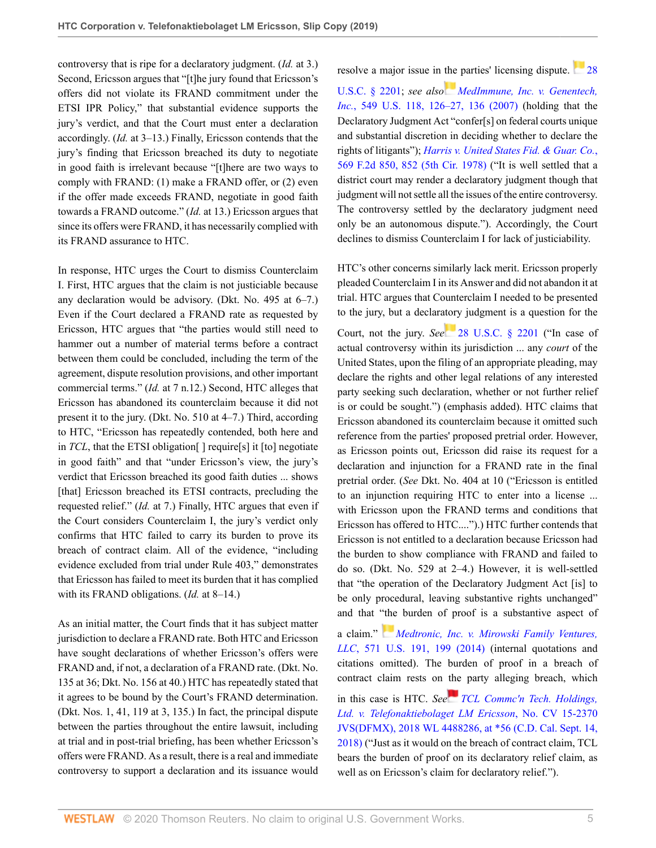controversy that is ripe for a declaratory judgment. (*Id.* at 3.) Second, Ericsson argues that "[t]he jury found that Ericsson's offers did not violate its FRAND commitment under the ETSI IPR Policy," that substantial evidence supports the jury's verdict, and that the Court must enter a declaration accordingly. (*Id.* at 3–13.) Finally, Ericsson contends that the jury's finding that Ericsson breached its duty to negotiate in good faith is irrelevant because "[t]here are two ways to comply with FRAND: (1) make a FRAND offer, or (2) even if the offer made exceeds FRAND, negotiate in good faith towards a FRAND outcome." (*Id.* at 13.) Ericsson argues that since its offers were FRAND, it has necessarily complied with its FRAND assurance to HTC.

In response, HTC urges the Court to dismiss Counterclaim I. First, HTC argues that the claim is not justiciable because any declaration would be advisory. (Dkt. No. 495 at 6–7.) Even if the Court declared a FRAND rate as requested by Ericsson, HTC argues that "the parties would still need to hammer out a number of material terms before a contract between them could be concluded, including the term of the agreement, dispute resolution provisions, and other important commercial terms." (*Id.* at 7 n.12.) Second, HTC alleges that Ericsson has abandoned its counterclaim because it did not present it to the jury. (Dkt. No. 510 at 4–7.) Third, according to HTC, "Ericsson has repeatedly contended, both here and in *TCL*, that the ETSI obligation<sup>[]</sup> require<sup>[s]</sup> it [to] negotiate in good faith" and that "under Ericsson's view, the jury's verdict that Ericsson breached its good faith duties ... shows [that] Ericsson breached its ETSI contracts, precluding the requested relief." (*Id.* at 7.) Finally, HTC argues that even if the Court considers Counterclaim I, the jury's verdict only confirms that HTC failed to carry its burden to prove its breach of contract claim. All of the evidence, "including evidence excluded from trial under Rule 403," demonstrates that Ericsson has failed to meet its burden that it has complied with its FRAND obligations. (*Id.* at 8–14.)

As an initial matter, the Court finds that it has subject matter jurisdiction to declare a FRAND rate. Both HTC and Ericsson have sought declarations of whether Ericsson's offers were FRAND and, if not, a declaration of a FRAND rate. (Dkt. No. 135 at 36; Dkt. No. 156 at 40.) HTC has repeatedly stated that it agrees to be bound by the Court's FRAND determination. (Dkt. Nos. 1, 41, 119 at 3, 135.) In fact, the principal dispute between the parties throughout the entire lawsuit, including at trial and in post-trial briefing, has been whether Ericsson's offers were FRAND. As a result, there is a real and immediate controversy to support a declaration and its issuance would resolve a major issue in [the](https://1.next.westlaw.com/Link/RelatedInformation/Flag?documentGuid=I39aa4a8c9fda11dbb38df5bc58c34d92&transitionType=InlineKeyCiteFlags&originationContext=docHeaderFlag&Rank=0&contextData=(sc.Default) ) parties' licensing dispute. [28](http://www.westlaw.com/Link/Document/FullText?findType=L&pubNum=1000546&cite=28USCAS2201&originatingDoc=Ib38f1820e23e11e9a624fda6cf7cce18&refType=LQ&originationContext=document&vr=3.0&rs=cblt1.0&transitionType=DocumentItem&contextData=(sc.Default))

[U.S.C. § 2201;](http://www.westlaw.com/Link/Document/FullText?findType=L&pubNum=1000546&cite=28USCAS2201&originatingDoc=Ib38f1820e23e11e9a624fda6cf7cce18&refType=LQ&originationContext=document&vr=3.0&rs=cblt1.0&transitionType=DocumentItem&contextData=(sc.Default)) *see also [MedImmune, Inc. v. Genentech,](http://www.westlaw.com/Link/Document/FullText?findType=Y&serNum=2011142967&pubNum=0000780&originatingDoc=Ib38f1820e23e11e9a624fda6cf7cce18&refType=RP&fi=co_pp_sp_780_126&originationContext=document&vr=3.0&rs=cblt1.0&transitionType=DocumentItem&contextData=(sc.Default)#co_pp_sp_780_126) Inc.*[, 549 U.S. 118, 126–27, 136 \(2007\)](http://www.westlaw.com/Link/Document/FullText?findType=Y&serNum=2011142967&pubNum=0000780&originatingDoc=Ib38f1820e23e11e9a624fda6cf7cce18&refType=RP&fi=co_pp_sp_780_126&originationContext=document&vr=3.0&rs=cblt1.0&transitionType=DocumentItem&contextData=(sc.Default)#co_pp_sp_780_126) (holding that the Declaratory Judgment Act "confer[s] on federal courts unique and substantial discretion in deciding whether to declare the rights of litigants"); *[Harris v. United States Fid. & Guar. Co.](http://www.westlaw.com/Link/Document/FullText?findType=Y&serNum=1978102405&pubNum=0000350&originatingDoc=Ib38f1820e23e11e9a624fda6cf7cce18&refType=RP&fi=co_pp_sp_350_852&originationContext=document&vr=3.0&rs=cblt1.0&transitionType=DocumentItem&contextData=(sc.Default)#co_pp_sp_350_852)*, [569 F.2d 850, 852 \(5th Cir. 1978\)](http://www.westlaw.com/Link/Document/FullText?findType=Y&serNum=1978102405&pubNum=0000350&originatingDoc=Ib38f1820e23e11e9a624fda6cf7cce18&refType=RP&fi=co_pp_sp_350_852&originationContext=document&vr=3.0&rs=cblt1.0&transitionType=DocumentItem&contextData=(sc.Default)#co_pp_sp_350_852) ("It is well settled that a district court may render a declaratory judgment though that judgment will not settle all the issues of the entire controversy. The controversy settled by the declaratory judgment need only be an autonomous dispute."). Accordingly, the Court declines to dismiss Counterclaim I for lack of justiciability.

HTC's other concerns similarly lack merit. Ericsson properly pleaded Counterclaim I in its Answer and did not abandon it at trial. HTC argues that Counterclaim I needed to be presented to the jury, but a declar[atory](https://1.next.westlaw.com/Link/RelatedInformation/Flag?documentGuid=NF100FCE0700711DFB67B8242A1E63CBF&transitionType=InlineKeyCiteFlags&originationContext=docHeaderFlag&Rank=0&contextData=(sc.Default) ) judgment is a question for the Court, not the jury. *See* [28 U.S.C. § 2201](http://www.westlaw.com/Link/Document/FullText?findType=L&pubNum=1000546&cite=28USCAS2201&originatingDoc=Ib38f1820e23e11e9a624fda6cf7cce18&refType=LQ&originationContext=document&vr=3.0&rs=cblt1.0&transitionType=DocumentItem&contextData=(sc.Default)) ("In case of actual controversy within its jurisdiction ... any *court* of the United States, upon the filing of an appropriate pleading, may declare the rights and other legal relations of any interested party seeking such declaration, whether or not further relief is or could be sought.") (emphasis added). HTC claims that Ericsson abandoned its counterclaim because it omitted such reference from the parties' proposed pretrial order. However, as Ericsson points out, Ericsson did raise its request for a declaration and injunction for a FRAND rate in the final pretrial order. (*See* Dkt. No. 404 at 10 ("Ericsson is entitled to an injunction requiring HTC to enter into a license ... with Ericsson upon the FRAND terms and conditions that Ericsson has offered to HTC....").) HTC further contends that Ericsson is not entitled to a declaration because Ericsson had the burden to show compliance with FRAND and failed to do so. (Dkt. No. 529 at 2–4.) However, it is well-settled that "the operation of the Declaratory Judgment Act [is] to be only procedural, leaving substantive rights unchanged" and that ["the](https://1.next.westlaw.com/Link/RelatedInformation/Flag?documentGuid=I7a533b5382ea11e39ac8bab74931929c&transitionType=InlineKeyCiteFlags&originationContext=docHeaderFlag&Rank=0&contextData=(sc.Default) ) burden of proof is a substantive aspect of

a claim." *[Medtronic, Inc. v. Mirowski Family Ventures,](http://www.westlaw.com/Link/Document/FullText?findType=Y&serNum=2032573163&pubNum=0000780&originatingDoc=Ib38f1820e23e11e9a624fda6cf7cce18&refType=RP&fi=co_pp_sp_780_199&originationContext=document&vr=3.0&rs=cblt1.0&transitionType=DocumentItem&contextData=(sc.Default)#co_pp_sp_780_199) LLC*[, 571 U.S. 191, 199 \(2014\)](http://www.westlaw.com/Link/Document/FullText?findType=Y&serNum=2032573163&pubNum=0000780&originatingDoc=Ib38f1820e23e11e9a624fda6cf7cce18&refType=RP&fi=co_pp_sp_780_199&originationContext=document&vr=3.0&rs=cblt1.0&transitionType=DocumentItem&contextData=(sc.Default)#co_pp_sp_780_199) (internal quotations and citations omitted). The burden of proof in a breach of contract claim rests on [the](https://1.next.westlaw.com/Link/RelatedInformation/Flag?documentGuid=Id155ea50bc7e11e89a72e3efe6364bb2&transitionType=InlineKeyCiteFlags&originationContext=docHeaderFlag&Rank=0&contextData=(sc.Default) ) party alleging breach, which in this case is HTC. *See [TCL Commc'n Tech. Holdings,](http://www.westlaw.com/Link/Document/FullText?findType=Y&serNum=2045536799&pubNum=0000999&originatingDoc=Ib38f1820e23e11e9a624fda6cf7cce18&refType=RP&originationContext=document&vr=3.0&rs=cblt1.0&transitionType=DocumentItem&contextData=(sc.Default)) [Ltd. v. Telefonaktiebolaget LM Ericsson](http://www.westlaw.com/Link/Document/FullText?findType=Y&serNum=2045536799&pubNum=0000999&originatingDoc=Ib38f1820e23e11e9a624fda6cf7cce18&refType=RP&originationContext=document&vr=3.0&rs=cblt1.0&transitionType=DocumentItem&contextData=(sc.Default))*, No. CV 15-2370 [JVS\(DFMX\), 2018 WL 4488286, at \\*56 \(C.D. Cal. Sept. 14,](http://www.westlaw.com/Link/Document/FullText?findType=Y&serNum=2045536799&pubNum=0000999&originatingDoc=Ib38f1820e23e11e9a624fda6cf7cce18&refType=RP&originationContext=document&vr=3.0&rs=cblt1.0&transitionType=DocumentItem&contextData=(sc.Default)) [2018\)](http://www.westlaw.com/Link/Document/FullText?findType=Y&serNum=2045536799&pubNum=0000999&originatingDoc=Ib38f1820e23e11e9a624fda6cf7cce18&refType=RP&originationContext=document&vr=3.0&rs=cblt1.0&transitionType=DocumentItem&contextData=(sc.Default)) ("Just as it would on the breach of contract claim, TCL bears the burden of proof on its declaratory relief claim, as well as on Ericsson's claim for declaratory relief.").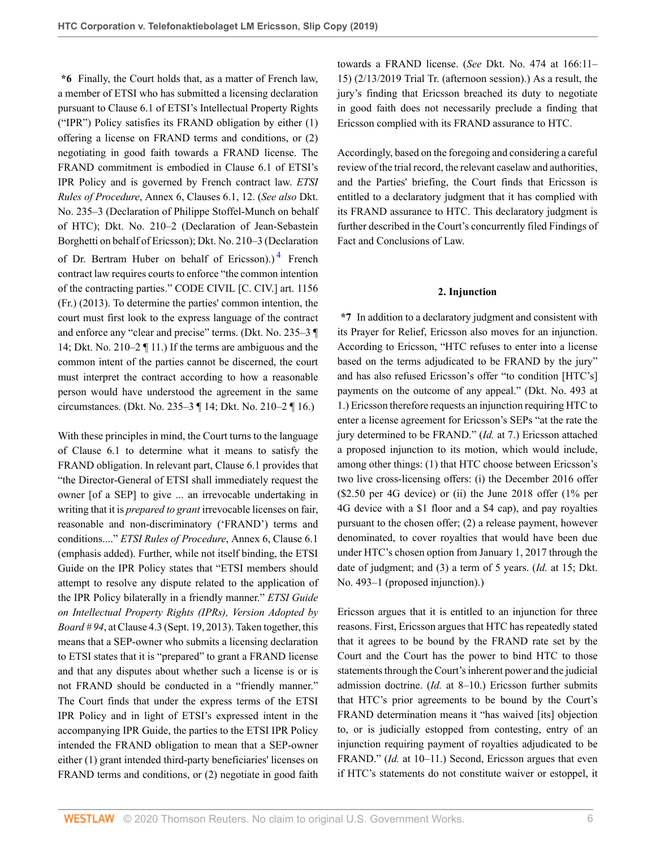**\*6** Finally, the Court holds that, as a matter of French law, a member of ETSI who has submitted a licensing declaration pursuant to Clause 6.1 of ETSI's Intellectual Property Rights ("IPR") Policy satisfies its FRAND obligation by either (1) offering a license on FRAND terms and conditions, or (2) negotiating in good faith towards a FRAND license. The FRAND commitment is embodied in Clause 6.1 of ETSI's IPR Policy and is governed by French contract law. *ETSI Rules of Procedure*, Annex 6, Clauses 6.1, 12. (*See also* Dkt. No. 235–3 (Declaration of Philippe Stoffel-Munch on behalf of HTC); Dkt. No. 210–2 (Declaration of Jean-Sebastein Borghetti on behalf of Ericsson); Dkt. No. 210–3 (Declaration of Dr. Bertram Huber on behalf of Ericsson).)<sup>[4](#page-9-3)</sup> French contract law requires courts to enforce "the common intention of the contracting parties." CODE CIVIL [C. CIV.] art. 1156 (Fr.) (2013). To determine the parties' common intention, the court must first look to the express language of the contract and enforce any "clear and precise" terms. (Dkt. No. 235–3 ¶ 14; Dkt. No. 210–2 ¶ 11.) If the terms are ambiguous and the common intent of the parties cannot be discerned, the court must interpret the contract according to how a reasonable person would have understood the agreement in the same circumstances. (Dkt. No. 235–3 ¶ 14; Dkt. No. 210–2 ¶ 16.)

With these principles in mind, the Court turns to the language of Clause 6.1 to determine what it means to satisfy the FRAND obligation. In relevant part, Clause 6.1 provides that "the Director-General of ETSI shall immediately request the owner [of a SEP] to give ... an irrevocable undertaking in writing that it is *prepared to grant* irrevocable licenses on fair, reasonable and non-discriminatory ('FRAND') terms and conditions...." *ETSI Rules of Procedure*, Annex 6, Clause 6.1 (emphasis added). Further, while not itself binding, the ETSI Guide on the IPR Policy states that "ETSI members should attempt to resolve any dispute related to the application of the IPR Policy bilaterally in a friendly manner." *ETSI Guide on Intellectual Property Rights (IPRs), Version Adopted by Board # 94*, at Clause 4.3 (Sept. 19, 2013). Taken together, this means that a SEP-owner who submits a licensing declaration to ETSI states that it is "prepared" to grant a FRAND license and that any disputes about whether such a license is or is not FRAND should be conducted in a "friendly manner." The Court finds that under the express terms of the ETSI IPR Policy and in light of ETSI's expressed intent in the accompanying IPR Guide, the parties to the ETSI IPR Policy intended the FRAND obligation to mean that a SEP-owner either (1) grant intended third-party beneficiaries' licenses on FRAND terms and conditions, or (2) negotiate in good faith

towards a FRAND license. (*See* Dkt. No. 474 at 166:11– 15) (2/13/2019 Trial Tr. (afternoon session).) As a result, the jury's finding that Ericsson breached its duty to negotiate in good faith does not necessarily preclude a finding that Ericsson complied with its FRAND assurance to HTC.

Accordingly, based on the foregoing and considering a careful review of the trial record, the relevant caselaw and authorities, and the Parties' briefing, the Court finds that Ericsson is entitled to a declaratory judgment that it has complied with its FRAND assurance to HTC. This declaratory judgment is further described in the Court's concurrently filed Findings of Fact and Conclusions of Law.

### **2. Injunction**

<span id="page-5-0"></span>**\*7** In addition to a declaratory judgment and consistent with its Prayer for Relief, Ericsson also moves for an injunction. According to Ericsson, "HTC refuses to enter into a license based on the terms adjudicated to be FRAND by the jury" and has also refused Ericsson's offer "to condition [HTC's] payments on the outcome of any appeal." (Dkt. No. 493 at 1.) Ericsson therefore requests an injunction requiring HTC to enter a license agreement for Ericsson's SEPs "at the rate the jury determined to be FRAND." (*Id.* at 7.) Ericsson attached a proposed injunction to its motion, which would include, among other things: (1) that HTC choose between Ericsson's two live cross-licensing offers: (i) the December 2016 offer (\$2.50 per 4G device) or (ii) the June 2018 offer (1% per 4G device with a \$1 floor and a \$4 cap), and pay royalties pursuant to the chosen offer; (2) a release payment, however denominated, to cover royalties that would have been due under HTC's chosen option from January 1, 2017 through the date of judgment; and (3) a term of 5 years. (*Id.* at 15; Dkt. No. 493–1 (proposed injunction).)

Ericsson argues that it is entitled to an injunction for three reasons. First, Ericsson argues that HTC has repeatedly stated that it agrees to be bound by the FRAND rate set by the Court and the Court has the power to bind HTC to those statements through the Court's inherent power and the judicial admission doctrine. (*Id.* at 8–10.) Ericsson further submits that HTC's prior agreements to be bound by the Court's FRAND determination means it "has waived [its] objection to, or is judicially estopped from contesting, entry of an injunction requiring payment of royalties adjudicated to be FRAND." (*Id.* at 10–11.) Second, Ericsson argues that even if HTC's statements do not constitute waiver or estoppel, it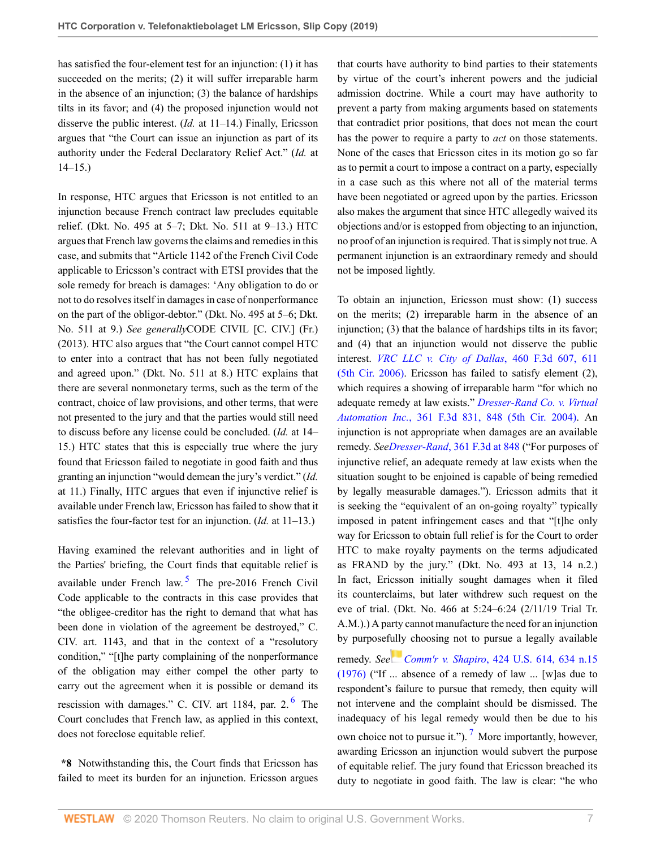has satisfied the four-element test for an injunction: (1) it has succeeded on the merits; (2) it will suffer irreparable harm in the absence of an injunction; (3) the balance of hardships tilts in its favor; and (4) the proposed injunction would not disserve the public interest. (*Id.* at 11–14.) Finally, Ericsson argues that "the Court can issue an injunction as part of its authority under the Federal Declaratory Relief Act." (*Id.* at 14–15.)

In response, HTC argues that Ericsson is not entitled to an injunction because French contract law precludes equitable relief. (Dkt. No. 495 at 5–7; Dkt. No. 511 at 9–13.) HTC argues that French law governs the claims and remedies in this case, and submits that "Article 1142 of the French Civil Code applicable to Ericsson's contract with ETSI provides that the sole remedy for breach is damages: 'Any obligation to do or not to do resolves itself in damages in case of nonperformance on the part of the obligor-debtor." (Dkt. No. 495 at 5–6; Dkt. No. 511 at 9.) *See generally*CODE CIVIL [C. CIV.] (Fr.) (2013). HTC also argues that "the Court cannot compel HTC to enter into a contract that has not been fully negotiated and agreed upon." (Dkt. No. 511 at 8.) HTC explains that there are several nonmonetary terms, such as the term of the contract, choice of law provisions, and other terms, that were not presented to the jury and that the parties would still need to discuss before any license could be concluded. (*Id.* at 14– 15.) HTC states that this is especially true where the jury found that Ericsson failed to negotiate in good faith and thus granting an injunction "would demean the jury's verdict." (*Id.* at 11.) Finally, HTC argues that even if injunctive relief is available under French law, Ericsson has failed to show that it satisfies the four-factor test for an injunction. (*Id.* at 11–13.)

<span id="page-6-0"></span>Having examined the relevant authorities and in light of the Parties' briefing, the Court finds that equitable relief is available under French law.<sup>[5](#page-9-4)</sup> The pre-2016 French Civil Code applicable to the contracts in this case provides that "the obligee-creditor has the right to demand that what has been done in violation of the agreement be destroyed," C. CIV. art. 1143, and that in the context of a "resolutory condition," "[t]he party complaining of the nonperformance of the obligation may either compel the other party to carry out the agreement when it is possible or demand its rescission with damages." C. CIV. art 1184, par. 2.<sup>[6](#page-9-5)</sup> The Court concludes that French law, as applied in this context, does not foreclose equitable relief.

**\*8** Notwithstanding this, the Court finds that Ericsson has failed to meet its burden for an injunction. Ericsson argues that courts have authority to bind parties to their statements by virtue of the court's inherent powers and the judicial admission doctrine. While a court may have authority to prevent a party from making arguments based on statements that contradict prior positions, that does not mean the court has the power to require a party to *act* on those statements. None of the cases that Ericsson cites in its motion go so far as to permit a court to impose a contract on a party, especially in a case such as this where not all of the material terms have been negotiated or agreed upon by the parties. Ericsson also makes the argument that since HTC allegedly waived its objections and/or is estopped from objecting to an injunction, no proof of an injunction is required. That is simply not true. A permanent injunction is an extraordinary remedy and should not be imposed lightly.

To obtain an injunction, Ericsson must show: (1) success on the merits; (2) irreparable harm in the absence of an injunction; (3) that the balance of hardships tilts in its favor; and (4) that an injunction would not disserve the public interest. *[VRC LLC v. City of Dallas](http://www.westlaw.com/Link/Document/FullText?findType=Y&serNum=2009690234&pubNum=0000506&originatingDoc=Ib38f1820e23e11e9a624fda6cf7cce18&refType=RP&fi=co_pp_sp_506_611&originationContext=document&vr=3.0&rs=cblt1.0&transitionType=DocumentItem&contextData=(sc.Default)#co_pp_sp_506_611)*, 460 F.3d 607, 611 [\(5th Cir. 2006\)](http://www.westlaw.com/Link/Document/FullText?findType=Y&serNum=2009690234&pubNum=0000506&originatingDoc=Ib38f1820e23e11e9a624fda6cf7cce18&refType=RP&fi=co_pp_sp_506_611&originationContext=document&vr=3.0&rs=cblt1.0&transitionType=DocumentItem&contextData=(sc.Default)#co_pp_sp_506_611). Ericsson has failed to satisfy element (2), which requires a showing of irreparable harm "for which no adequate remedy at law exists." *[Dresser-Rand Co. v. Virtual](http://www.westlaw.com/Link/Document/FullText?findType=Y&serNum=2004152424&pubNum=0000506&originatingDoc=Ib38f1820e23e11e9a624fda6cf7cce18&refType=RP&fi=co_pp_sp_506_848&originationContext=document&vr=3.0&rs=cblt1.0&transitionType=DocumentItem&contextData=(sc.Default)#co_pp_sp_506_848) Automation Inc.*[, 361 F.3d 831, 848 \(5th Cir. 2004\)](http://www.westlaw.com/Link/Document/FullText?findType=Y&serNum=2004152424&pubNum=0000506&originatingDoc=Ib38f1820e23e11e9a624fda6cf7cce18&refType=RP&fi=co_pp_sp_506_848&originationContext=document&vr=3.0&rs=cblt1.0&transitionType=DocumentItem&contextData=(sc.Default)#co_pp_sp_506_848). An injunction is not appropriate when damages are an available remedy. *SeeDresser-Rand*[, 361 F.3d at 848](http://www.westlaw.com/Link/Document/FullText?findType=Y&serNum=2004152424&pubNum=0000506&originatingDoc=Ib38f1820e23e11e9a624fda6cf7cce18&refType=RP&fi=co_pp_sp_506_848&originationContext=document&vr=3.0&rs=cblt1.0&transitionType=DocumentItem&contextData=(sc.Default)#co_pp_sp_506_848) ("For purposes of injunctive relief, an adequate remedy at law exists when the situation sought to be enjoined is capable of being remedied by legally measurable damages."). Ericsson admits that it is seeking the "equivalent of an on-going royalty" typically imposed in patent infringement cases and that "[t]he only way for Ericsson to obtain full relief is for the Court to order HTC to make royalty payments on the terms adjudicated as FRAND by the jury." (Dkt. No. 493 at 13, 14 n.2.) In fact, Ericsson initially sought damages when it filed its counterclaims, but later withdrew such request on the eve of trial. (Dkt. No. 466 at 5:24–6:24 (2/11/19 Trial Tr. A.M.).) A party cannot manufacture the need for an injunction by purposef[ully](https://1.next.westlaw.com/Link/RelatedInformation/Flag?documentGuid=Ic1e25da89c1e11d991d0cc6b54f12d4d&transitionType=InlineKeyCiteFlags&originationContext=docHeaderFlag&Rank=0&contextData=(sc.Default) ) choosing not to pursue a legally available

<span id="page-6-2"></span><span id="page-6-1"></span>remedy. *See Comm'r v. Shapiro*[, 424 U.S. 614, 634 n.15](http://www.westlaw.com/Link/Document/FullText?findType=Y&serNum=1976142329&pubNum=0000780&originatingDoc=Ib38f1820e23e11e9a624fda6cf7cce18&refType=RP&fi=co_pp_sp_780_634&originationContext=document&vr=3.0&rs=cblt1.0&transitionType=DocumentItem&contextData=(sc.Default)#co_pp_sp_780_634) [\(1976\)](http://www.westlaw.com/Link/Document/FullText?findType=Y&serNum=1976142329&pubNum=0000780&originatingDoc=Ib38f1820e23e11e9a624fda6cf7cce18&refType=RP&fi=co_pp_sp_780_634&originationContext=document&vr=3.0&rs=cblt1.0&transitionType=DocumentItem&contextData=(sc.Default)#co_pp_sp_780_634) ("If ... absence of a remedy of law ... [w]as due to respondent's failure to pursue that remedy, then equity will not intervene and the complaint should be dismissed. The inadequacy of his legal remedy would then be due to his own choice not to pursue it.").<sup>[7](#page-9-6)</sup> More importantly, however, awarding Ericsson an injunction would subvert the purpose of equitable relief. The jury found that Ericsson breached its duty to negotiate in good faith. The law is clear: "he who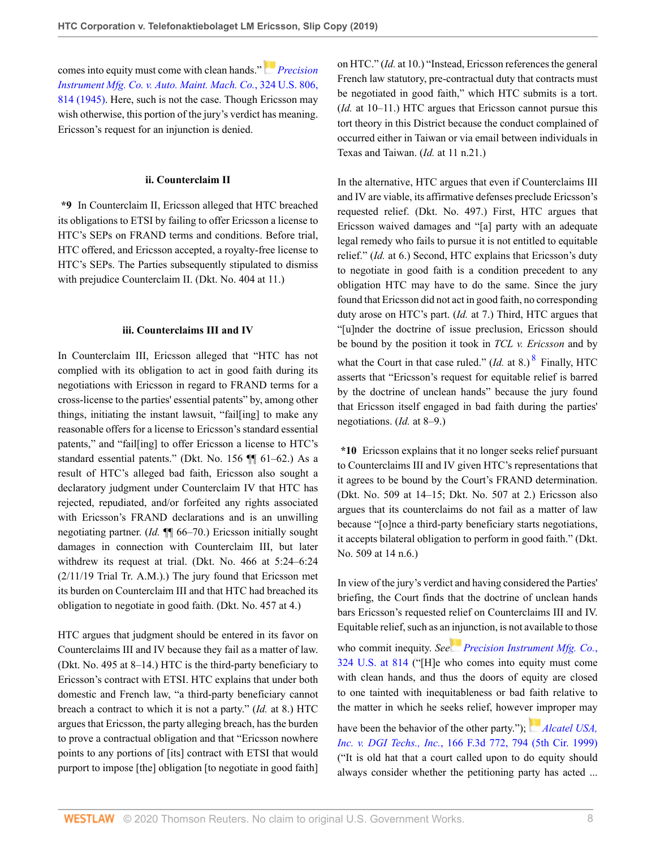comes into equity must come with clean hands."*[Precision](http://www.westlaw.com/Link/Document/FullText?findType=Y&serNum=1945115864&pubNum=0000780&originatingDoc=Ib38f1820e23e11e9a624fda6cf7cce18&refType=RP&fi=co_pp_sp_780_814&originationContext=document&vr=3.0&rs=cblt1.0&transitionType=DocumentItem&contextData=(sc.Default)#co_pp_sp_780_814) [Instrument Mfg. Co. v. Auto. Maint. Mach. Co.](http://www.westlaw.com/Link/Document/FullText?findType=Y&serNum=1945115864&pubNum=0000780&originatingDoc=Ib38f1820e23e11e9a624fda6cf7cce18&refType=RP&fi=co_pp_sp_780_814&originationContext=document&vr=3.0&rs=cblt1.0&transitionType=DocumentItem&contextData=(sc.Default)#co_pp_sp_780_814)*, 324 U.S. 806, [814 \(1945\)](http://www.westlaw.com/Link/Document/FullText?findType=Y&serNum=1945115864&pubNum=0000780&originatingDoc=Ib38f1820e23e11e9a624fda6cf7cce18&refType=RP&fi=co_pp_sp_780_814&originationContext=document&vr=3.0&rs=cblt1.0&transitionType=DocumentItem&contextData=(sc.Default)#co_pp_sp_780_814). Here, such is not the case. Though Ericsson may wish otherwise, this portion of the jury's verdict has meaning. Ericsson's request for an injunction is denied.

#### **ii. Counterclaim II**

**\*9** In Counterclaim II, Ericsson alleged that HTC breached its obligations to ETSI by failing to offer Ericsson a license to HTC's SEPs on FRAND terms and conditions. Before trial, HTC offered, and Ericsson accepted, a royalty-free license to HTC's SEPs. The Parties subsequently stipulated to dismiss with prejudice Counterclaim II. (Dkt. No. 404 at 11.)

#### **iii. Counterclaims III and IV**

In Counterclaim III, Ericsson alleged that "HTC has not complied with its obligation to act in good faith during its negotiations with Ericsson in regard to FRAND terms for a cross-license to the parties' essential patents" by, among other things, initiating the instant lawsuit, "fail[ing] to make any reasonable offers for a license to Ericsson's standard essential patents," and "fail[ing] to offer Ericsson a license to HTC's standard essential patents." (Dkt. No. 156 ¶¶ 61–62.) As a result of HTC's alleged bad faith, Ericsson also sought a declaratory judgment under Counterclaim IV that HTC has rejected, repudiated, and/or forfeited any rights associated with Ericsson's FRAND declarations and is an unwilling negotiating partner. (*Id.* ¶¶ 66–70.) Ericsson initially sought damages in connection with Counterclaim III, but later withdrew its request at trial. (Dkt. No. 466 at 5:24–6:24 (2/11/19 Trial Tr. A.M.).) The jury found that Ericsson met its burden on Counterclaim III and that HTC had breached its obligation to negotiate in good faith. (Dkt. No. 457 at 4.)

HTC argues that judgment should be entered in its favor on Counterclaims III and IV because they fail as a matter of law. (Dkt. No. 495 at 8–14.) HTC is the third-party beneficiary to Ericsson's contract with ETSI. HTC explains that under both domestic and French law, "a third-party beneficiary cannot breach a contract to which it is not a party." (*Id.* at 8.) HTC argues that Ericsson, the party alleging breach, has the burden to prove a contractual obligation and that "Ericsson nowhere points to any portions of [its] contract with ETSI that would purport to impose [the] obligation [to negotiate in good faith] on HTC." (*Id.* at 10.) "Instead, Ericsson references the general French law statutory, pre-contractual duty that contracts must be negotiated in good faith," which HTC submits is a tort. (*Id.* at 10–11.) HTC argues that Ericsson cannot pursue this tort theory in this District because the conduct complained of occurred either in Taiwan or via email between individuals in Texas and Taiwan. (*Id.* at 11 n.21.)

In the alternative, HTC argues that even if Counterclaims III and IV are viable, its affirmative defenses preclude Ericsson's requested relief. (Dkt. No. 497.) First, HTC argues that Ericsson waived damages and "[a] party with an adequate legal remedy who fails to pursue it is not entitled to equitable relief." (*Id.* at 6.) Second, HTC explains that Ericsson's duty to negotiate in good faith is a condition precedent to any obligation HTC may have to do the same. Since the jury found that Ericsson did not act in good faith, no corresponding duty arose on HTC's part. (*Id.* at 7.) Third, HTC argues that "[u]nder the doctrine of issue preclusion, Ericsson should be bound by the position it took in *TCL v. Ericsson* and by what the Court in that case ruled."  $(Id.$  at [8](#page-9-7).)  $<sup>8</sup>$  Finally, HTC</sup> asserts that "Ericsson's request for equitable relief is barred by the doctrine of unclean hands" because the jury found that Ericsson itself engaged in bad faith during the parties' negotiations. (*Id.* at 8–9.)

<span id="page-7-0"></span>**\*10** Ericsson explains that it no longer seeks relief pursuant to Counterclaims III and IV given HTC's representations that it agrees to be bound by the Court's FRAND determination. (Dkt. No. 509 at 14–15; Dkt. No. 507 at 2.) Ericsson also argues that its counterclaims do not fail as a matter of law because "[o]nce a third-party beneficiary starts negotiations, it accepts bilateral obligation to perform in good faith." (Dkt. No. 509 at 14 n.6.)

In view of the jury's verdict and having considered the Parties' briefing, the Court finds that the doctrine of unclean hands bars Ericsson's requested relief on Counterclaims III and IV. Equitable relief, such as a[n inju](https://1.next.westlaw.com/Link/RelatedInformation/Flag?documentGuid=I6164de629c1f11d9bc61beebb95be672&transitionType=InlineKeyCiteFlags&originationContext=docHeaderFlag&Rank=0&contextData=(sc.Default) )nction, is not available to those

who commit inequity. *See [Precision Instrument Mfg. Co.](http://www.westlaw.com/Link/Document/FullText?findType=Y&serNum=1945115864&pubNum=0000780&originatingDoc=Ib38f1820e23e11e9a624fda6cf7cce18&refType=RP&fi=co_pp_sp_780_814&originationContext=document&vr=3.0&rs=cblt1.0&transitionType=DocumentItem&contextData=(sc.Default)#co_pp_sp_780_814)*, [324 U.S. at 814](http://www.westlaw.com/Link/Document/FullText?findType=Y&serNum=1945115864&pubNum=0000780&originatingDoc=Ib38f1820e23e11e9a624fda6cf7cce18&refType=RP&fi=co_pp_sp_780_814&originationContext=document&vr=3.0&rs=cblt1.0&transitionType=DocumentItem&contextData=(sc.Default)#co_pp_sp_780_814) ("[H]e who comes into equity must come with clean hands, and thus the doors of equity are closed to one tainted with inequitableness or bad faith relative to the matter in which he seeks relief, howev[er im](https://1.next.westlaw.com/Link/RelatedInformation/Flag?documentGuid=I1a03b2438b9811d99a6fdc806bf1638e&transitionType=InlineKeyCiteFlags&originationContext=docHeaderFlag&Rank=0&contextData=(sc.Default) )proper may

have been the behavior of the other party."); *Alcatel USA*, *Inc. v. DGI Techs., Inc.*[, 166 F.3d 772, 794 \(5th Cir. 1999\)](http://www.westlaw.com/Link/Document/FullText?findType=Y&serNum=1999043546&pubNum=0000506&originatingDoc=Ib38f1820e23e11e9a624fda6cf7cce18&refType=RP&fi=co_pp_sp_506_794&originationContext=document&vr=3.0&rs=cblt1.0&transitionType=DocumentItem&contextData=(sc.Default)#co_pp_sp_506_794) ("It is old hat that a court called upon to do equity should always consider whether the petitioning party has acted ...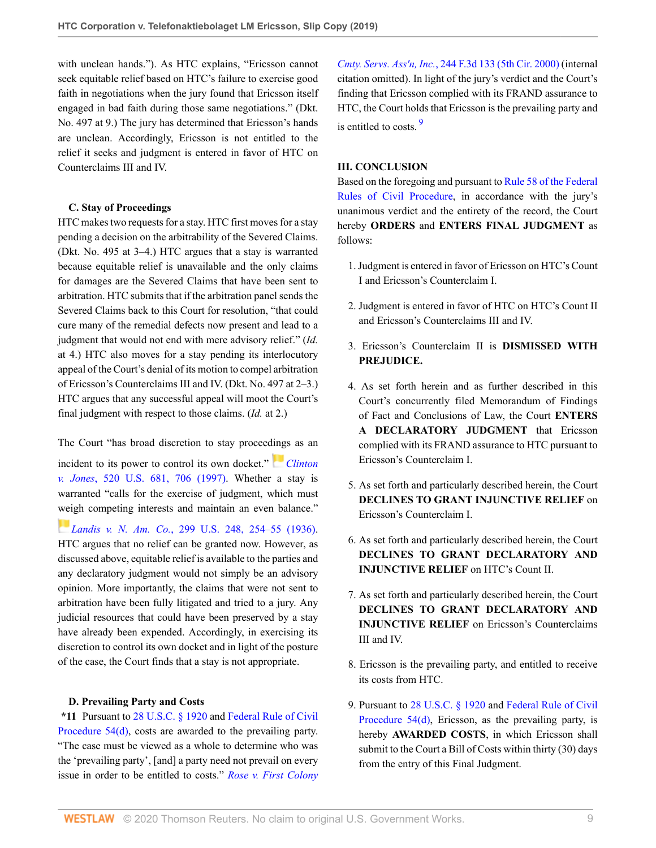with unclean hands."). As HTC explains, "Ericsson cannot seek equitable relief based on HTC's failure to exercise good faith in negotiations when the jury found that Ericsson itself engaged in bad faith during those same negotiations." (Dkt. No. 497 at 9.) The jury has determined that Ericsson's hands are unclean. Accordingly, Ericsson is not entitled to the relief it seeks and judgment is entered in favor of HTC on Counterclaims III and IV.

## **C. Stay of Proceedings**

HTC makes two requests for a stay. HTC first moves for a stay pending a decision on the arbitrability of the Severed Claims. (Dkt. No. 495 at 3–4.) HTC argues that a stay is warranted because equitable relief is unavailable and the only claims for damages are the Severed Claims that have been sent to arbitration. HTC submits that if the arbitration panel sends the Severed Claims back to this Court for resolution, "that could cure many of the remedial defects now present and lead to a judgment that would not end with mere advisory relief." (*Id.* at 4.) HTC also moves for a stay pending its interlocutory appeal of the Court's denial of its motion to compel arbitration of Ericsson's Counterclaims III and IV. (Dkt. No. 497 at 2–3.) HTC argues that any successful appeal will moot the Court's final judgment with respect to those claims. (*Id.* at 2.)

The Court "has broad discretion to stay procee[ding](https://1.next.westlaw.com/Link/RelatedInformation/Flag?documentGuid=Ibdd5aac29c2511d9bc61beebb95be672&transitionType=InlineKeyCiteFlags&originationContext=docHeaderFlag&Rank=0&contextData=(sc.Default) )s as an

incident to its power to control its own docket." *[Clinton](http://www.westlaw.com/Link/Document/FullText?findType=Y&serNum=1997115666&pubNum=0000780&originatingDoc=Ib38f1820e23e11e9a624fda6cf7cce18&refType=RP&fi=co_pp_sp_780_706&originationContext=document&vr=3.0&rs=cblt1.0&transitionType=DocumentItem&contextData=(sc.Default)#co_pp_sp_780_706) v. Jones*[, 520 U.S. 681, 706 \(1997\).](http://www.westlaw.com/Link/Document/FullText?findType=Y&serNum=1997115666&pubNum=0000780&originatingDoc=Ib38f1820e23e11e9a624fda6cf7cce18&refType=RP&fi=co_pp_sp_780_706&originationContext=document&vr=3.0&rs=cblt1.0&transitionType=DocumentItem&contextData=(sc.Default)#co_pp_sp_780_706) Whether a stay is warranted "calls for the exercise of judgment, which must [wei](https://1.next.westlaw.com/Link/RelatedInformation/Flag?documentGuid=Ib46b60189cc011d991d0cc6b54f12d4d&transitionType=InlineKeyCiteFlags&originationContext=docHeaderFlag&Rank=0&contextData=(sc.Default) )gh competing interests and maintain an even balance."

*Landis v. N. Am. Co.*[, 299 U.S. 248, 254–55 \(1936\)](http://www.westlaw.com/Link/Document/FullText?findType=Y&serNum=1936123335&pubNum=0000780&originatingDoc=Ib38f1820e23e11e9a624fda6cf7cce18&refType=RP&fi=co_pp_sp_780_254&originationContext=document&vr=3.0&rs=cblt1.0&transitionType=DocumentItem&contextData=(sc.Default)#co_pp_sp_780_254). HTC argues that no relief can be granted now. However, as discussed above, equitable relief is available to the parties and any declaratory judgment would not simply be an advisory opinion. More importantly, the claims that were not sent to arbitration have been fully litigated and tried to a jury. Any judicial resources that could have been preserved by a stay have already been expended. Accordingly, in exercising its discretion to control its own docket and in light of the posture of the case, the Court finds that a stay is not appropriate.

## **D. Prevailing Party and Costs**

**\*11** Pursuant to [28 U.S.C. § 1920](http://www.westlaw.com/Link/Document/FullText?findType=L&pubNum=1000546&cite=28USCAS1920&originatingDoc=Ib38f1820e23e11e9a624fda6cf7cce18&refType=LQ&originationContext=document&vr=3.0&rs=cblt1.0&transitionType=DocumentItem&contextData=(sc.Default)) and [Federal Rule of Civil](http://www.westlaw.com/Link/Document/FullText?findType=L&pubNum=1000600&cite=USFRCPR54&originatingDoc=Ib38f1820e23e11e9a624fda6cf7cce18&refType=LQ&originationContext=document&vr=3.0&rs=cblt1.0&transitionType=DocumentItem&contextData=(sc.Default)) [Procedure 54\(d\),](http://www.westlaw.com/Link/Document/FullText?findType=L&pubNum=1000600&cite=USFRCPR54&originatingDoc=Ib38f1820e23e11e9a624fda6cf7cce18&refType=LQ&originationContext=document&vr=3.0&rs=cblt1.0&transitionType=DocumentItem&contextData=(sc.Default)) costs are awarded to the prevailing party. "The case must be viewed as a whole to determine who was the 'prevailing party', [and] a party need not prevail on every issue in order to be entitled to costs." *[Rose v. First Colony](http://www.westlaw.com/Link/Document/FullText?findType=Y&serNum=2001046174&pubNum=0000506&originatingDoc=Ib38f1820e23e11e9a624fda6cf7cce18&refType=RP&originationContext=document&vr=3.0&rs=cblt1.0&transitionType=DocumentItem&contextData=(sc.Default))* *Cmty. Servs. Ass'n, Inc.*[, 244 F.3d 133 \(5th Cir. 2000\)](http://www.westlaw.com/Link/Document/FullText?findType=Y&serNum=2001046174&pubNum=0000506&originatingDoc=Ib38f1820e23e11e9a624fda6cf7cce18&refType=RP&originationContext=document&vr=3.0&rs=cblt1.0&transitionType=DocumentItem&contextData=(sc.Default)) (internal citation omitted). In light of the jury's verdict and the Court's finding that Ericsson complied with its FRAND assurance to HTC, the Court holds that Ericsson is the prevailing party and is entitled to costs <sup>[9](#page-9-8)</sup>

## <span id="page-8-0"></span>**III. CONCLUSION**

Based on the foregoing and pursuant to [Rule 58 of the Federal](http://www.westlaw.com/Link/Document/FullText?findType=L&pubNum=1000600&cite=USFRCPR58&originatingDoc=Ib38f1820e23e11e9a624fda6cf7cce18&refType=LQ&originationContext=document&vr=3.0&rs=cblt1.0&transitionType=DocumentItem&contextData=(sc.Default)) [Rules of Civil Procedure,](http://www.westlaw.com/Link/Document/FullText?findType=L&pubNum=1000600&cite=USFRCPR58&originatingDoc=Ib38f1820e23e11e9a624fda6cf7cce18&refType=LQ&originationContext=document&vr=3.0&rs=cblt1.0&transitionType=DocumentItem&contextData=(sc.Default)) in accordance with the jury's unanimous verdict and the entirety of the record, the Court hereby **ORDERS** and **ENTERS FINAL JUDGMENT** as follows:

- 1. Judgment is entered in favor of Ericsson on HTC's Count I and Ericsson's Counterclaim I.
- 2. Judgment is entered in favor of HTC on HTC's Count II and Ericsson's Counterclaims III and IV.
- 3. Ericsson's Counterclaim II is **DISMISSED WITH PREJUDICE.**
- 4. As set forth herein and as further described in this Court's concurrently filed Memorandum of Findings of Fact and Conclusions of Law, the Court **ENTERS A DECLARATORY JUDGMENT** that Ericsson complied with its FRAND assurance to HTC pursuant to Ericsson's Counterclaim I.
- 5. As set forth and particularly described herein, the Court **DECLINES TO GRANT INJUNCTIVE RELIEF** on Ericsson's Counterclaim I.
- 6. As set forth and particularly described herein, the Court **DECLINES TO GRANT DECLARATORY AND INJUNCTIVE RELIEF** on HTC's Count II.
- 7. As set forth and particularly described herein, the Court **DECLINES TO GRANT DECLARATORY AND INJUNCTIVE RELIEF** on Ericsson's Counterclaims III and IV.
- 8. Ericsson is the prevailing party, and entitled to receive its costs from HTC.
- 9. Pursuant to [28 U.S.C. § 1920](http://www.westlaw.com/Link/Document/FullText?findType=L&pubNum=1000546&cite=28USCAS1920&originatingDoc=Ib38f1820e23e11e9a624fda6cf7cce18&refType=LQ&originationContext=document&vr=3.0&rs=cblt1.0&transitionType=DocumentItem&contextData=(sc.Default)) and [Federal Rule of Civil](http://www.westlaw.com/Link/Document/FullText?findType=L&pubNum=1000600&cite=USFRCPR54&originatingDoc=Ib38f1820e23e11e9a624fda6cf7cce18&refType=LQ&originationContext=document&vr=3.0&rs=cblt1.0&transitionType=DocumentItem&contextData=(sc.Default)) [Procedure 54\(d\),](http://www.westlaw.com/Link/Document/FullText?findType=L&pubNum=1000600&cite=USFRCPR54&originatingDoc=Ib38f1820e23e11e9a624fda6cf7cce18&refType=LQ&originationContext=document&vr=3.0&rs=cblt1.0&transitionType=DocumentItem&contextData=(sc.Default)) Ericsson, as the prevailing party, is hereby **AWARDED COSTS**, in which Ericsson shall submit to the Court a Bill of Costs within thirty (30) days from the entry of this Final Judgment.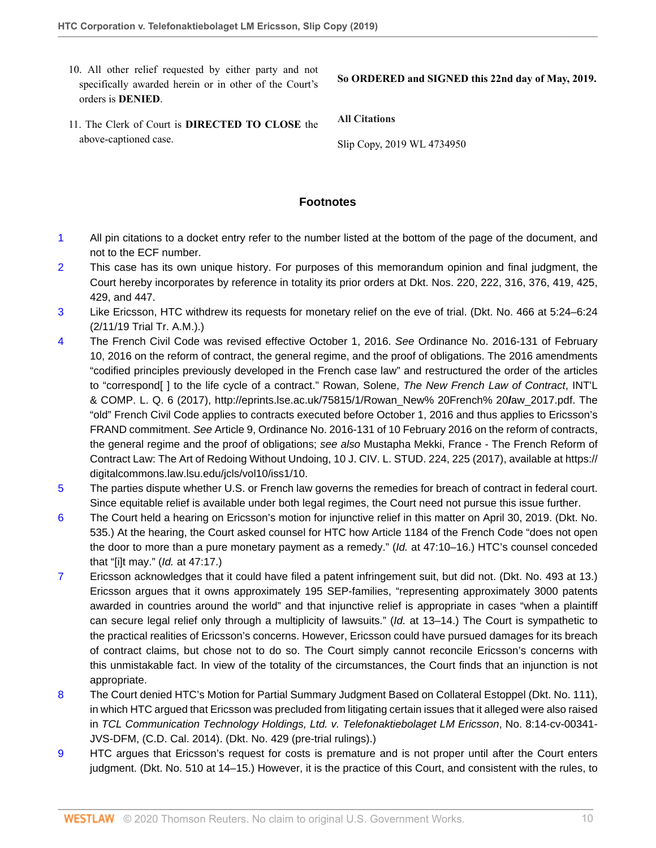10. All other relief requested by either party and not specifically awarded herein or in other of the Court's orders is **DENIED**.

**So ORDERED and SIGNED this 22nd day of May, 2019.**

11. The Clerk of Court is **DIRECTED TO CLOSE** the above-captioned case.

**All Citations**

Slip Copy, 2019 WL 4734950

# **Footnotes**

- <span id="page-9-0"></span>[1](#page-0-0) All pin citations to a docket entry refer to the number listed at the bottom of the page of the document, and not to the ECF number.
- <span id="page-9-1"></span>[2](#page-0-1) This case has its own unique history. For purposes of this memorandum opinion and final judgment, the Court hereby incorporates by reference in totality its prior orders at Dkt. Nos. 220, 222, 316, 376, 419, 425, 429, and 447.
- <span id="page-9-2"></span>[3](#page-3-0) Like Ericsson, HTC withdrew its requests for monetary relief on the eve of trial. (Dkt. No. 466 at 5:24–6:24 (2/11/19 Trial Tr. A.M.).)
- <span id="page-9-3"></span>[4](#page-5-0) The French Civil Code was revised effective October 1, 2016. See Ordinance No. 2016-131 of February 10, 2016 on the reform of contract, the general regime, and the proof of obligations. The 2016 amendments "codified principles previously developed in the French case law" and restructured the order of the articles to "correspond [] to the life cycle of a contract." Rowan, Solene, The New French Law of Contract, INT'L & COMP. L. Q. 6 (2017), http://eprints.lse.ac.uk/75815/1/Rowan\_New% 20French% 20**l**aw\_2017.pdf. The "old" French Civil Code applies to contracts executed before October 1, 2016 and thus applies to Ericsson's FRAND commitment. See Article 9, Ordinance No. 2016-131 of 10 February 2016 on the reform of contracts, the general regime and the proof of obligations; see also Mustapha Mekki, France - The French Reform of Contract Law: The Art of Redoing Without Undoing, 10 J. CIV. L. STUD. 224, 225 (2017), available at https:// digitalcommons.law.lsu.edu/jcls/vol10/iss1/10.
- <span id="page-9-4"></span>[5](#page-6-0) The parties dispute whether U.S. or French law governs the remedies for breach of contract in federal court. Since equitable relief is available under both legal regimes, the Court need not pursue this issue further.
- <span id="page-9-5"></span>[6](#page-6-1) The Court held a hearing on Ericsson's motion for injunctive relief in this matter on April 30, 2019. (Dkt. No. 535.) At the hearing, the Court asked counsel for HTC how Article 1184 of the French Code "does not open the door to more than a pure monetary payment as a remedy." (Id. at 47:10-16.) HTC's counsel conceded that "[i]t may." (Id. at 47:17.)
- <span id="page-9-6"></span>[7](#page-6-2) Ericsson acknowledges that it could have filed a patent infringement suit, but did not. (Dkt. No. 493 at 13.) Ericsson argues that it owns approximately 195 SEP-families, "representing approximately 3000 patents awarded in countries around the world" and that injunctive relief is appropriate in cases "when a plaintiff can secure legal relief only through a multiplicity of lawsuits." (Id. at 13–14.) The Court is sympathetic to the practical realities of Ericsson's concerns. However, Ericsson could have pursued damages for its breach of contract claims, but chose not to do so. The Court simply cannot reconcile Ericsson's concerns with this unmistakable fact. In view of the totality of the circumstances, the Court finds that an injunction is not appropriate.
- <span id="page-9-7"></span>[8](#page-7-0) The Court denied HTC's Motion for Partial Summary Judgment Based on Collateral Estoppel (Dkt. No. 111), in which HTC argued that Ericsson was precluded from litigating certain issues that it alleged were also raised in TCL Communication Technology Holdings, Ltd. v. Telefonaktiebolaget LM Ericsson, No. 8:14-cv-00341- JVS-DFM, (C.D. Cal. 2014). (Dkt. No. 429 (pre-trial rulings).)
- <span id="page-9-8"></span>[9](#page-8-0) HTC argues that Ericsson's request for costs is premature and is not proper until after the Court enters judgment. (Dkt. No. 510 at 14–15.) However, it is the practice of this Court, and consistent with the rules, to